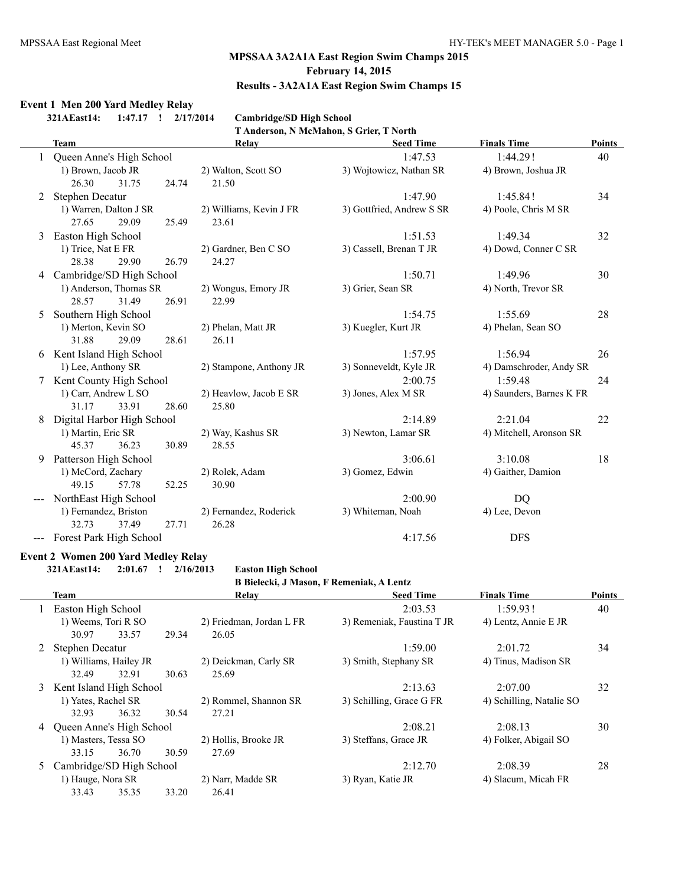# **Results - 3A2A1A East Region Swim Champs 15**

# **Event 1 Men 200 Yard Medley Relay**

**321AEast14: 1:47.17 ! 2/17/2014 Cambridge/SD High School**

**T Anderson, N McMahon, S Grier, T North**

|   | Team                       | Relay                   | <b>Seed Time</b>          | <b>Finals Time</b>       | <b>Points</b> |
|---|----------------------------|-------------------------|---------------------------|--------------------------|---------------|
|   | Queen Anne's High School   |                         | 1:47.53                   | 1:44.29!                 | 40            |
|   | 1) Brown, Jacob JR         | 2) Walton, Scott SO     | 3) Wojtowicz, Nathan SR   | 4) Brown, Joshua JR      |               |
|   | 26.30<br>31.75<br>24.74    | 21.50                   |                           |                          |               |
| 2 | <b>Stephen Decatur</b>     |                         | 1:47.90                   | 1:45.84!                 | 34            |
|   | 1) Warren, Dalton J SR     | 2) Williams, Kevin J FR | 3) Gottfried, Andrew S SR | 4) Poole, Chris M SR     |               |
|   | 27.65<br>29.09<br>25.49    | 23.61                   |                           |                          |               |
| 3 | Easton High School         |                         | 1:51.53                   | 1:49.34                  | 32            |
|   | 1) Trice, Nat E FR         | 2) Gardner, Ben C SO    | 3) Cassell, Brenan T JR   | 4) Dowd, Conner C SR     |               |
|   | 28.38<br>29.90<br>26.79    | 24.27                   |                           |                          |               |
|   | 4 Cambridge/SD High School |                         | 1:50.71                   | 1:49.96                  | 30            |
|   | 1) Anderson, Thomas SR     | 2) Wongus, Emory JR     | 3) Grier, Sean SR         | 4) North, Trevor SR      |               |
|   | 31.49<br>26.91<br>28.57    | 22.99                   |                           |                          |               |
| 5 | Southern High School       |                         | 1:54.75                   | 1:55.69                  | 28            |
|   | 1) Merton, Kevin SO        | 2) Phelan, Matt JR      | 3) Kuegler, Kurt JR       | 4) Phelan, Sean SO       |               |
|   | 31.88<br>29.09<br>28.61    | 26.11                   |                           |                          |               |
| 6 | Kent Island High School    |                         | 1:57.95                   | 1:56.94                  | 26            |
|   | 1) Lee, Anthony SR         | 2) Stampone, Anthony JR | 3) Sonneveldt, Kyle JR    | 4) Damschroder, Andy SR  |               |
| 7 | Kent County High School    |                         | 2:00.75                   | 1:59.48                  | 24            |
|   | 1) Carr, Andrew L SO       | 2) Heavlow, Jacob E SR  | 3) Jones, Alex M SR       | 4) Saunders, Barnes K FR |               |
|   | 31.17<br>33.91<br>28.60    | 25.80                   |                           |                          |               |
|   | Digital Harbor High School |                         | 2:14.89                   | 2:21.04                  | 22            |
|   | 1) Martin, Eric SR         | 2) Way, Kashus SR       | 3) Newton, Lamar SR       | 4) Mitchell, Aronson SR  |               |
|   | 45.37<br>36.23<br>30.89    | 28.55                   |                           |                          |               |
| 9 | Patterson High School      |                         | 3:06.61                   | 3:10.08                  | 18            |
|   | 1) McCord, Zachary         | 2) Rolek, Adam          | 3) Gomez, Edwin           | 4) Gaither, Damion       |               |
|   | 49.15<br>57.78<br>52.25    | 30.90                   |                           |                          |               |
|   | NorthEast High School      |                         | 2:00.90                   | DQ                       |               |
|   | 1) Fernandez, Briston      | 2) Fernandez, Roderick  | 3) Whiteman, Noah         | 4) Lee, Devon            |               |
|   | 32.73<br>37.49<br>27.71    | 26.28                   |                           |                          |               |
|   | Forest Park High School    |                         | 4:17.56                   | <b>DFS</b>               |               |

#### **Event 2 Women 200 Yard Medley Relay**

**321AEast14: 2:01.67 ! 2/16/2013 Easton High School**

**B Bielecki, J Mason, F Remeniak, A Lentz**

|   | Team                       |                    |       | Relay                    |                            |                          |    | <b>Seed Time</b> | <b>Finals Time</b> | <b>Points</b> |  |
|---|----------------------------|--------------------|-------|--------------------------|----------------------------|--------------------------|----|------------------|--------------------|---------------|--|
|   |                            | Easton High School |       |                          | 2:03.53                    | 1:59.93!                 | 40 |                  |                    |               |  |
|   | 1) Weems, Tori R SO        |                    |       | 2) Friedman, Jordan L FR | 3) Remeniak, Faustina T JR | 4) Lentz, Annie E JR     |    |                  |                    |               |  |
|   | 30.97                      | 33.57              | 29.34 | 26.05                    |                            |                          |    |                  |                    |               |  |
|   | Stephen Decatur            |                    |       |                          | 1:59.00                    | 2:01.72                  | 34 |                  |                    |               |  |
|   | 1) Williams, Hailey JR     |                    |       | 2) Deickman, Carly SR    | 3) Smith, Stephany SR      | 4) Tinus, Madison SR     |    |                  |                    |               |  |
|   | 32.49                      | 32.91              | 30.63 | 25.69                    |                            |                          |    |                  |                    |               |  |
| 3 | Kent Island High School    |                    |       |                          | 2:13.63                    | 2:07.00                  | 32 |                  |                    |               |  |
|   | 1) Yates, Rachel SR        |                    |       | 2) Rommel, Shannon SR    | 3) Schilling, Grace G FR   | 4) Schilling, Natalie SO |    |                  |                    |               |  |
|   | 32.93                      | 36.32              | 30.54 | 27.21                    |                            |                          |    |                  |                    |               |  |
|   | 4 Queen Anne's High School |                    |       |                          | 2:08.21                    | 2:08.13                  | 30 |                  |                    |               |  |
|   | 1) Masters, Tessa SO       |                    |       | 2) Hollis, Brooke JR     | 3) Steffans, Grace JR      | 4) Folker, Abigail SO    |    |                  |                    |               |  |
|   | 33.15                      | 36.70              | 30.59 | 27.69                    |                            |                          |    |                  |                    |               |  |
| 5 | Cambridge/SD High School   |                    |       |                          | 2:12.70                    | 2:08.39                  | 28 |                  |                    |               |  |
|   | 1) Hauge, Nora SR          |                    |       | 2) Narr, Madde SR        | 3) Ryan, Katie JR          | 4) Slacum, Micah FR      |    |                  |                    |               |  |
|   | 33.43                      | 35.35              | 33.20 | 26.41                    |                            |                          |    |                  |                    |               |  |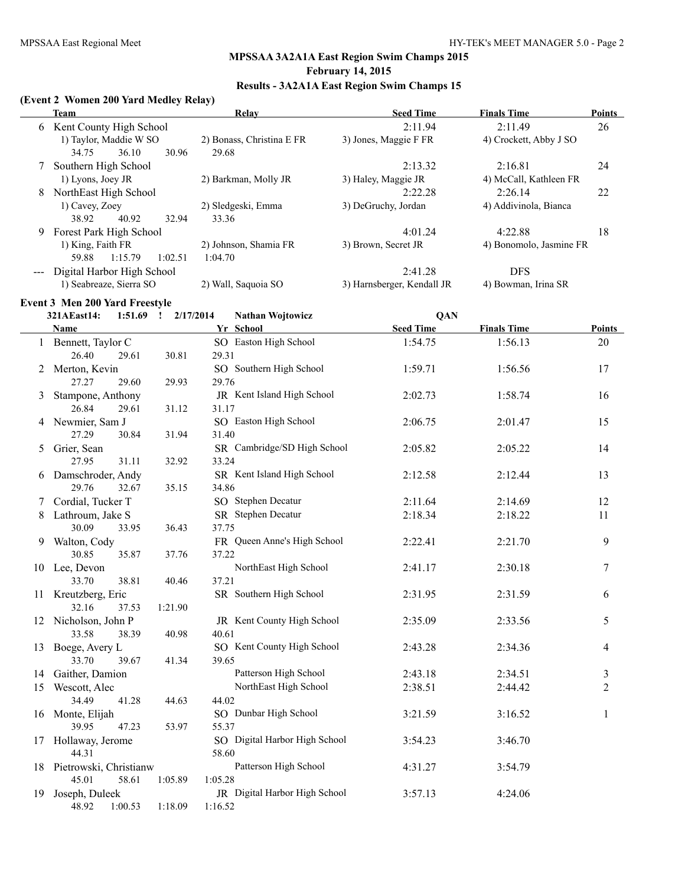# **Results - 3A2A1A East Region Swim Champs 15**

### **(Event 2 Women 200 Yard Medley Relay)**

|                   | Team                        | Relay                     | <b>Seed Time</b>           | <b>Finals Time</b>      | <b>Points</b> |
|-------------------|-----------------------------|---------------------------|----------------------------|-------------------------|---------------|
|                   | 6 Kent County High School   |                           | 2:11.94                    | 2:11.49                 | 26            |
|                   | 1) Taylor, Maddie W SO      | 2) Bonass, Christina E FR | 3) Jones, Maggie F FR      | 4) Crockett, Abby J SO  |               |
|                   | 36.10<br>30.96<br>34.75     | 29.68                     |                            |                         |               |
|                   | Southern High School        |                           | 2:13.32                    | 2:16.81                 | 24            |
|                   | 1) Lyons, Joey JR           | 2) Barkman, Molly JR      | 3) Haley, Maggie JR        | 4) McCall, Kathleen FR  |               |
| 8                 | NorthEast High School       |                           | 2:22.28                    | 2:26.14                 | 22            |
|                   | 1) Cavey, Zoey              | 2) Sledgeski, Emma        | 3) DeGruchy, Jordan        | 4) Addivinola, Bianca   |               |
|                   | 40.92<br>32.94<br>38.92     | 33.36                     |                            |                         |               |
| 9                 | Forest Park High School     |                           | 4:01.24                    | 4:22.88                 | 18            |
|                   | 1) King, Faith FR           | 2) Johnson, Shamia FR     | 3) Brown, Secret JR        | 4) Bonomolo, Jasmine FR |               |
|                   | 1:15.79<br>1:02.51<br>59.88 | 1:04.70                   |                            |                         |               |
| $\qquad \qquad -$ | Digital Harbor High School  |                           | 2:41.28                    | <b>DFS</b>              |               |
|                   | 1) Seabreaze, Sierra SO     | 2) Wall, Saquoia SO       | 3) Harnsberger, Kendall JR | 4) Bowman, Irina SR     |               |

#### **Event 3 Men 200 Yard Freestyle**

|    | 321AEast14:<br>1:51.69    | 2/17/2014<br>$\cdot$ | <b>Nathan Wojtowicz</b>       | <b>QAN</b>       |                    |                |
|----|---------------------------|----------------------|-------------------------------|------------------|--------------------|----------------|
|    | Name                      |                      | Yr School                     | <b>Seed Time</b> | <b>Finals Time</b> | <b>Points</b>  |
|    | 1 Bennett, Taylor C       |                      | SO Easton High School         | 1:54.75          | 1:56.13            | 20             |
|    | 26.40<br>29.61            | 30.81                | 29.31                         |                  |                    |                |
| 2  | Merton, Kevin             |                      | SO Southern High School       | 1:59.71          | 1:56.56            | 17             |
|    | 27.27<br>29.60            | 29.93                | 29.76                         |                  |                    |                |
| 3  | Stampone, Anthony         |                      | JR Kent Island High School    | 2:02.73          | 1:58.74            | 16             |
|    | 26.84<br>29.61            | 31.12                | 31.17                         |                  |                    |                |
|    | 4 Newmier, Sam J          |                      | SO Easton High School         | 2:06.75          | 2:01.47            | 15             |
|    | 27.29<br>30.84            | 31.94                | 31.40                         |                  |                    |                |
| 5  | Grier, Sean               |                      | SR Cambridge/SD High School   | 2:05.82          | 2:05.22            | 14             |
|    | 27.95<br>31.11            | 32.92                | 33.24                         |                  |                    |                |
|    | 6 Damschroder, Andy       |                      | SR Kent Island High School    | 2:12.58          | 2:12.44            | 13             |
|    | 29.76<br>32.67            | 35.15                | 34.86                         |                  |                    |                |
| 7  | Cordial, Tucker T         |                      | SO Stephen Decatur            | 2:11.64          | 2:14.69            | 12             |
| 8  | Lathroum, Jake S          |                      | SR Stephen Decatur            | 2:18.34          | 2:18.22            | 11             |
|    | 30.09<br>33.95            | 36.43                | 37.75                         |                  |                    |                |
| 9. | Walton, Cody              |                      | FR Queen Anne's High School   | 2:22.41          | 2:21.70            | 9              |
|    | 30.85<br>35.87            | 37.76                | 37.22                         |                  |                    |                |
|    | 10 Lee, Devon             |                      | NorthEast High School         | 2:41.17          | 2:30.18            | 7              |
|    | 33.70<br>38.81            | 40.46                | 37.21                         |                  |                    |                |
|    | 11 Kreutzberg, Eric       |                      | SR Southern High School       | 2:31.95          | 2:31.59            | 6              |
|    | 32.16<br>37.53            | 1:21.90              |                               |                  |                    |                |
|    | 12 Nicholson, John P      |                      | JR Kent County High School    | 2:35.09          | 2:33.56            | 5              |
|    | 33.58<br>38.39            | 40.98                | 40.61                         |                  |                    |                |
|    | 13 Boege, Avery L         |                      | SO Kent County High School    | 2:43.28          | 2:34.36            | 4              |
|    | 33.70<br>39.67            | 41.34                | 39.65                         |                  |                    |                |
| 14 | Gaither, Damion           |                      | Patterson High School         | 2:43.18          | 2:34.51            | 3              |
| 15 | Wescott, Alec             |                      | NorthEast High School         | 2:38.51          | 2:44.42            | $\overline{2}$ |
|    | 34.49<br>41.28            | 44.63                | 44.02                         |                  |                    |                |
|    | 16 Monte, Elijah          |                      | SO Dunbar High School         | 3:21.59          | 3:16.52            | 1              |
|    | 39.95<br>47.23            | 53.97                | 55.37                         |                  |                    |                |
|    | 17 Hollaway, Jerome       |                      | SO Digital Harbor High School | 3:54.23          | 3:46.70            |                |
|    | 44.31                     |                      | 58.60                         |                  |                    |                |
|    | 18 Pietrowski, Christianw |                      | Patterson High School         | 4:31.27          | 3:54.79            |                |
|    | 45.01<br>58.61            | 1:05.89              | 1:05.28                       |                  |                    |                |
| 19 | Joseph, Duleek            |                      | JR Digital Harbor High School | 3:57.13          | 4:24.06            |                |
|    | 48.92<br>1:00.53          | 1:18.09              | 1:16.52                       |                  |                    |                |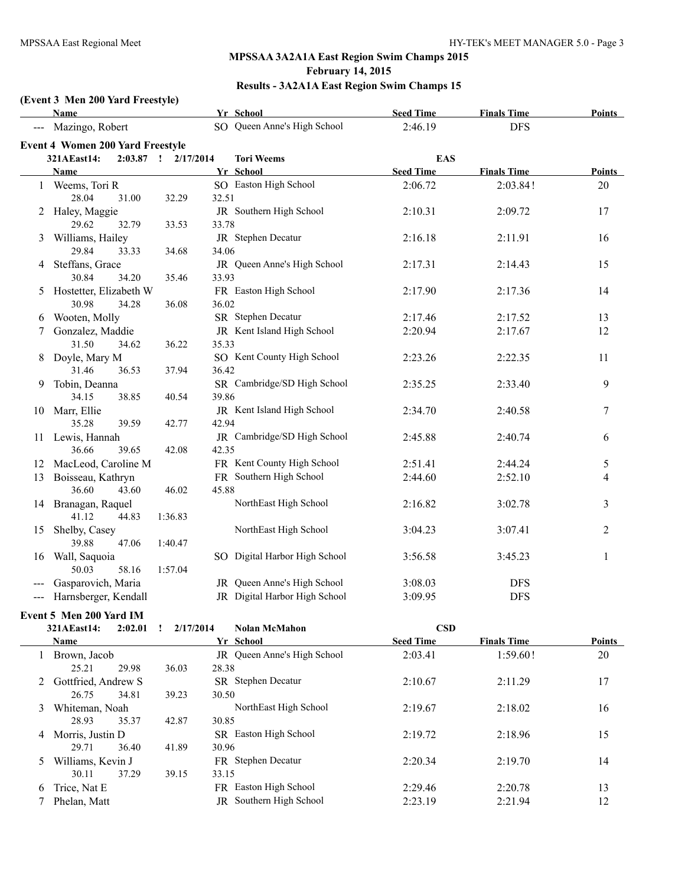# **(Event 3 Men 200 Yard Freestyle)**

|                     | Name                                    | Yr School                      | <b>Seed Time</b> | <b>Finals Time</b> | Points           |
|---------------------|-----------------------------------------|--------------------------------|------------------|--------------------|------------------|
| $\qquad \qquad - -$ | Mazingo, Robert                         | SO Queen Anne's High School    | 2:46.19          | <b>DFS</b>         |                  |
|                     | <b>Event 4 Women 200 Yard Freestyle</b> |                                |                  |                    |                  |
|                     | $2:03.87$ !<br>321AEast14:              | 2/17/2014<br><b>Tori Weems</b> | <b>EAS</b>       |                    |                  |
|                     | Name                                    | Yr School                      | <b>Seed Time</b> | <b>Finals Time</b> | Points           |
|                     | 1 Weems, Tori R                         | SO Easton High School          | 2:06.72          | 2:03.84!           | 20               |
|                     | 28.04<br>31.00<br>32.29                 | 32.51                          |                  |                    |                  |
|                     | 2 Haley, Maggie                         | JR Southern High School        | 2:10.31          | 2:09.72            | 17               |
|                     | 29.62<br>32.79<br>33.53                 | 33.78                          |                  |                    |                  |
| 3                   | Williams, Hailey                        | JR Stephen Decatur             | 2:16.18          | 2:11.91            | 16               |
|                     | 29.84<br>33.33<br>34.68                 | 34.06                          |                  |                    |                  |
|                     | 4 Steffans, Grace                       | JR Queen Anne's High School    | 2:17.31          | 2:14.43            | 15               |
|                     | 30.84<br>34.20<br>35.46                 | 33.93                          |                  |                    |                  |
| 5                   | Hostetter, Elizabeth W                  | FR Easton High School          | 2:17.90          | 2:17.36            | 14               |
|                     | 30.98<br>36.08<br>34.28                 | 36.02                          |                  |                    |                  |
| 6                   | Wooten, Molly                           | SR Stephen Decatur             | 2:17.46          | 2:17.52            | 13               |
| 7                   | Gonzalez, Maddie                        | JR Kent Island High School     | 2:20.94          | 2:17.67            | 12               |
|                     | 31.50<br>36.22<br>34.62                 | 35.33                          |                  |                    |                  |
| 8                   | Doyle, Mary M                           | SO Kent County High School     | 2:23.26          | 2:22.35            | 11               |
|                     | 31.46<br>36.53<br>37.94                 | 36.42                          |                  |                    |                  |
| 9                   | Tobin, Deanna                           | SR Cambridge/SD High School    | 2:35.25          | 2:33.40            | 9                |
|                     | 38.85<br>34.15<br>40.54                 | 39.86                          |                  |                    |                  |
|                     | 10 Marr, Ellie                          | JR Kent Island High School     | 2:34.70          | 2:40.58            | $\boldsymbol{7}$ |
|                     | 35.28<br>39.59<br>42.77                 | 42.94                          |                  |                    |                  |
| 11                  | Lewis, Hannah                           | JR Cambridge/SD High School    | 2:45.88          | 2:40.74            | 6                |
|                     | 36.66<br>39.65<br>42.08                 | 42.35                          |                  |                    |                  |
| 12                  | MacLeod, Caroline M                     | FR Kent County High School     | 2:51.41          | 2:44.24            | 5                |
| 13                  | Boisseau, Kathryn                       | FR Southern High School        | 2:44.60          | 2:52.10            | $\overline{4}$   |
|                     | 36.60<br>43.60<br>46.02                 | 45.88                          |                  |                    |                  |
|                     | 14 Branagan, Raquel                     | NorthEast High School          | 2:16.82          | 3:02.78            | $\mathfrak{Z}$   |
|                     | 41.12<br>44.83<br>1:36.83               |                                |                  |                    |                  |
| 15                  | Shelby, Casey                           | NorthEast High School          | 3:04.23          | 3:07.41            | 2                |
|                     | 39.88<br>47.06<br>1:40.47               |                                |                  |                    |                  |
| 16                  | Wall, Saquoia                           | SO Digital Harbor High School  | 3:56.58          | 3:45.23            | $\mathbf{1}$     |
|                     | 50.03<br>58.16<br>1:57.04               |                                |                  |                    |                  |
|                     | Gasparovich, Maria                      | JR Queen Anne's High School    | 3:08.03          | <b>DFS</b>         |                  |
|                     | --- Harnsberger, Kendall                | JR Digital Harbor High School  | 3:09.95          | <b>DFS</b>         |                  |

# **Event 5 Men 200 Yard IM**

|    | 321AEast14:           | 2:02.01 | 2/17/2014 | <b>Nolan McMahon</b>        | $\bf CSD$        |                    |               |
|----|-----------------------|---------|-----------|-----------------------------|------------------|--------------------|---------------|
|    | <b>Name</b>           |         |           | Yr School                   | <b>Seed Time</b> | <b>Finals Time</b> | <b>Points</b> |
|    | Brown, Jacob          |         |           | JR Oueen Anne's High School | 2:03.41          | 1:59.60!           | 20            |
|    | 25.21                 | 29.98   | 36.03     | 28.38                       |                  |                    |               |
|    | 2 Gottfried, Andrew S |         |           | <b>SR</b> Stephen Decatur   | 2:10.67          | 2:11.29            | 17            |
|    | 26.75                 | 34.81   | 39.23     | 30.50                       |                  |                    |               |
| 3  | Whiteman, Noah        |         |           | NorthEast High School       | 2:19.67          | 2:18.02            | 16            |
|    | 28.93                 | 35.37   | 42.87     | 30.85                       |                  |                    |               |
| 4  | Morris, Justin D      |         |           | SR Easton High School       | 2:19.72          | 2:18.96            | 15            |
|    | 29.71                 | 36.40   | 41.89     | 30.96                       |                  |                    |               |
| 5. | Williams, Kevin J     |         |           | FR Stephen Decatur          | 2:20.34          | 2:19.70            | 14            |
|    | 30.11                 | 37.29   | 39.15     | 33.15                       |                  |                    |               |
| 6  | Trice, Nat E          |         |           | FR Easton High School       | 2:29.46          | 2:20.78            | 13            |
|    | Phelan, Matt          |         |           | Southern High School<br>JR  | 2:23.19          | 2:21.94            | 12            |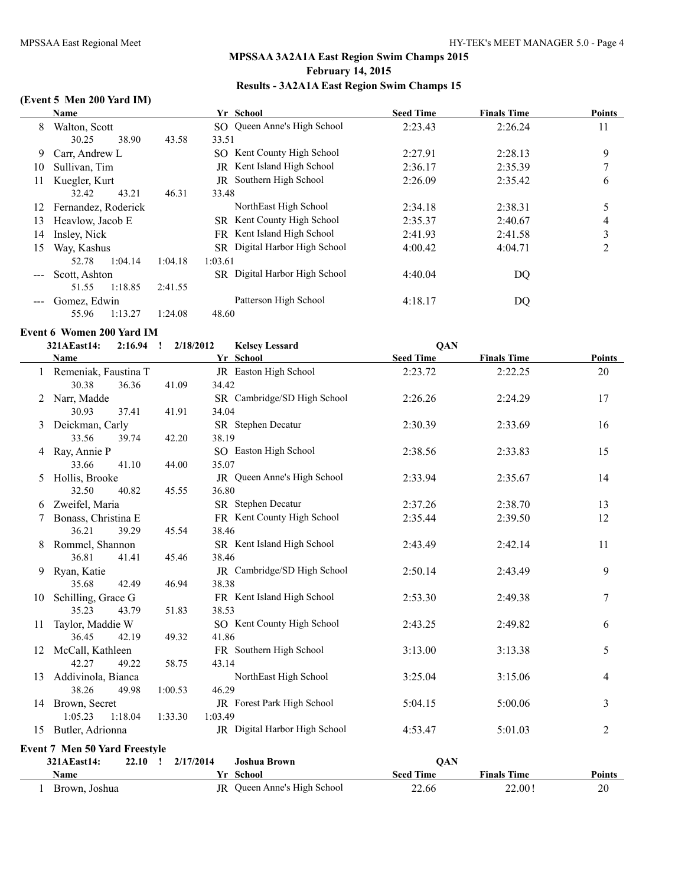# **(Event 5 Men 200 Yard IM)**

|    | Name                |         | Yr School                            | <b>Seed Time</b> | <b>Finals Time</b> | <b>Points</b> |
|----|---------------------|---------|--------------------------------------|------------------|--------------------|---------------|
| 8  | Walton, Scott       |         | SO Queen Anne's High School          | 2:23.43          | 2:26.24            | 11            |
|    | 38.90<br>30.25      | 43.58   | 33.51                                |                  |                    |               |
| 9  | Carr, Andrew L      |         | SO Kent County High School           | 2:27.91          | 2:28.13            | 9             |
| 10 | Sullivan, Tim       |         | JR Kent Island High School           | 2:36.17          | 2:35.39            |               |
| 11 | Kuegler, Kurt       |         | JR Southern High School              | 2:26.09          | 2:35.42            | 6             |
|    | 43.21<br>32.42      | 46.31   | 33.48                                |                  |                    |               |
| 12 | Fernandez, Roderick |         | NorthEast High School                | 2:34.18          | 2:38.31            | 5             |
| 13 | Heavlow, Jacob E    |         | SR Kent County High School           | 2:35.37          | 2:40.67            | 4             |
| 14 | Insley, Nick        |         | FR Kent Island High School           | 2:41.93          | 2:41.58            | 3             |
| 15 | Way, Kashus         |         | SR Digital Harbor High School        | 4:00.42          | 4:04.71            | 2             |
|    | 1:04.14<br>52.78    | 1:04.18 | 1:03.61                              |                  |                    |               |
|    | Scott, Ashton       |         | <b>SR</b> Digital Harbor High School | 4:40.04          | DQ                 |               |
|    | 1:18.85<br>51.55    | 2:41.55 |                                      |                  |                    |               |
|    | Gomez, Edwin        |         | Patterson High School                | 4:18.17          | DQ                 |               |
|    | 1:13.27<br>55.96    | 1:24.08 | 48.60                                |                  |                    |               |

**Event 6 Women 200 Yard IM**

**321AEast14: 2:16.94 ! 2/18/2012 Kelsey Lessard QAN**

|    | Name                                 |                       | Yr School                        | <b>Seed Time</b> | <b>Finals Time</b> | <b>Points</b> |
|----|--------------------------------------|-----------------------|----------------------------------|------------------|--------------------|---------------|
|    | Remeniak, Faustina T                 | JR Easton High School |                                  | 2:23.72          | 2:22.25            | 20            |
|    | 30.38<br>36.36                       | 41.09                 | 34.42                            |                  |                    |               |
| 2  | Narr, Madde                          |                       | SR Cambridge/SD High School      | 2:26.26          | 2:24.29            | 17            |
|    | 30.93<br>37.41                       | 41.91                 | 34.04                            |                  |                    |               |
| 3  | Deickman, Carly                      |                       | SR Stephen Decatur               | 2:30.39          | 2:33.69            | 16            |
|    | 33.56<br>39.74                       | 42.20                 | 38.19                            |                  |                    |               |
|    | Ray, Annie P                         |                       | SO Easton High School            | 2:38.56          | 2:33.83            | 15            |
|    | 33.66<br>41.10                       | 44.00                 | 35.07                            |                  |                    |               |
| 5  | Hollis, Brooke                       |                       | JR Queen Anne's High School      | 2:33.94          | 2:35.67            | 14            |
|    | 32.50<br>40.82                       | 45.55                 | 36.80                            |                  |                    |               |
| 6  | Zweifel, Maria                       |                       | SR Stephen Decatur               | 2:37.26          | 2:38.70            | 13            |
|    | Bonass, Christina E                  |                       | FR Kent County High School       | 2:35.44          | 2:39.50            | 12            |
|    | 36.21<br>39.29                       | 45.54                 | 38.46                            |                  |                    |               |
| 8  | Rommel, Shannon                      |                       | SR Kent Island High School       | 2:43.49          | 2:42.14            | 11            |
|    | 36.81<br>41.41                       | 45.46                 | 38.46                            |                  |                    |               |
| 9  | Ryan, Katie                          |                       | JR Cambridge/SD High School      | 2:50.14          | 2:43.49            | 9             |
|    | 35.68<br>42.49                       | 46.94                 | 38.38                            |                  |                    |               |
| 10 | Schilling, Grace G                   |                       | FR Kent Island High School       | 2:53.30          | 2:49.38            | $\tau$        |
|    | 35.23<br>43.79                       | 51.83                 | 38.53                            |                  |                    |               |
| 11 | Taylor, Maddie W                     |                       | SO Kent County High School       | 2:43.25          | 2:49.82            | 6             |
|    | 36.45<br>42.19                       | 49.32                 | 41.86                            |                  |                    |               |
| 12 | McCall, Kathleen                     |                       | FR Southern High School          | 3:13.00          | 3:13.38            | 5             |
|    | 42.27<br>49.22                       | 58.75                 | 43.14                            |                  |                    |               |
| 13 | Addivinola, Bianca                   |                       | NorthEast High School            | 3:25.04          | 3:15.06            | 4             |
|    | 38.26<br>49.98                       | 1:00.53               | 46.29                            |                  |                    |               |
|    | 14 Brown, Secret                     |                       | JR Forest Park High School       | 5:04.15          | 5:00.06            | 3             |
|    | 1:05.23<br>1:18.04                   | 1:33.30               | 1:03.49                          |                  |                    |               |
|    | 15 Butler, Adrionna                  |                       | JR Digital Harbor High School    | 4:53.47          | 5:01.03            | 2             |
|    | <b>Event 7 Men 50 Yard Freestyle</b> |                       |                                  |                  |                    |               |
|    | 321AEast14:<br>$22.10$ !             |                       | <b>Joshua Brown</b><br>2/17/2014 | QAN              |                    |               |
|    | Name                                 |                       | Yr School                        | <b>Seed Time</b> | <b>Finals Time</b> | Points        |
|    | 1 Brown, Joshua                      |                       | JR Queen Anne's High School      | 22.66            | 22.00!             | 20            |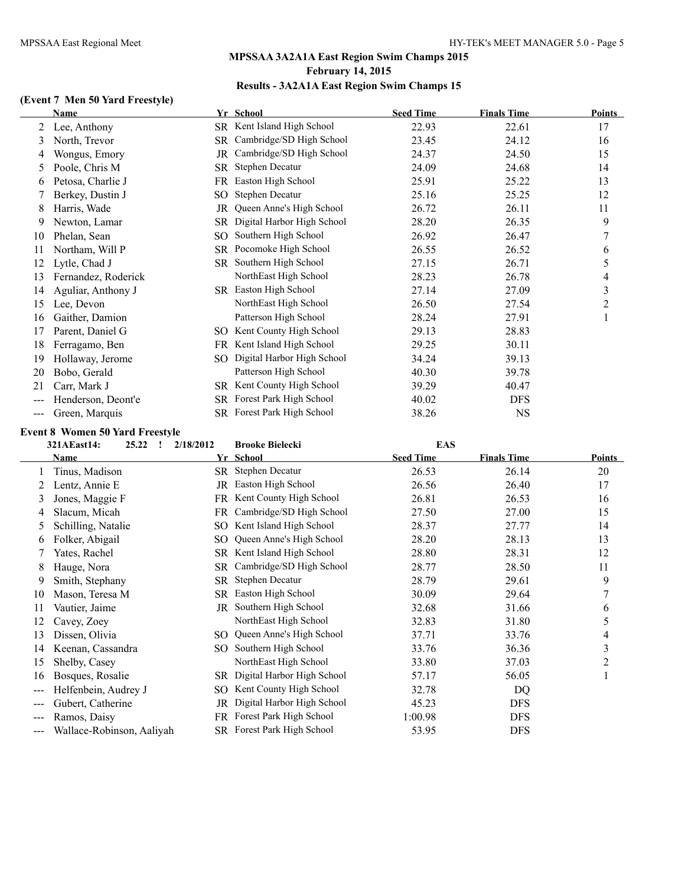# **(Event 7 Men 50 Yard Freestyle)**

|     | Name                |                 | Yr School                  | <b>Seed Time</b> | <b>Finals Time</b> | <b>Points</b>  |
|-----|---------------------|-----------------|----------------------------|------------------|--------------------|----------------|
| 2   | Lee, Anthony        |                 | SR Kent Island High School | 22.93            | 22.61              | 17             |
| 3   | North, Trevor       | SR              | Cambridge/SD High School   | 23.45            | 24.12              | 16             |
| 4   | Wongus, Emory       | JR              | Cambridge/SD High School   | 24.37            | 24.50              | 15             |
| 5   | Poole, Chris M      | SR              | Stephen Decatur            | 24.09            | 24.68              | 14             |
| 6   | Petosa, Charlie J   | FR              | Easton High School         | 25.91            | 25.22              | 13             |
|     | Berkey, Dustin J    | SO <sub>1</sub> | Stephen Decatur            | 25.16            | 25.25              | 12             |
| 8   | Harris, Wade        | JR              | Queen Anne's High School   | 26.72            | 26.11              | 11             |
| 9   | Newton, Lamar       | SR.             | Digital Harbor High School | 28.20            | 26.35              | 9              |
| 10  | Phelan, Sean        | SO              | Southern High School       | 26.92            | 26.47              | 7              |
| 11  | Northam, Will P     | SR              | Pocomoke High School       | 26.55            | 26.52              | 6              |
| 12  | Lytle, Chad J       | SR              | Southern High School       | 27.15            | 26.71              | 5              |
| 13  | Fernandez, Roderick |                 | NorthEast High School      | 28.23            | 26.78              | 4              |
| 14  | Aguliar, Anthony J  |                 | SR Easton High School      | 27.14            | 27.09              | 3              |
| 15  | Lee, Devon          |                 | NorthEast High School      | 26.50            | 27.54              | $\overline{2}$ |
| 16  | Gaither, Damion     |                 | Patterson High School      | 28.24            | 27.91              |                |
| 17  | Parent, Daniel G    | SO              | Kent County High School    | 29.13            | 28.83              |                |
| 18  | Ferragamo, Ben      | FR              | Kent Island High School    | 29.25            | 30.11              |                |
| 19  | Hollaway, Jerome    | SO              | Digital Harbor High School | 34.24            | 39.13              |                |
| 20  | Bobo, Gerald        |                 | Patterson High School      | 40.30            | 39.78              |                |
| 21  | Carr, Mark J        | SR              | Kent County High School    | 39.29            | 40.47              |                |
|     | Henderson, Deont'e  | SR              | Forest Park High School    | 40.02            | <b>DFS</b>         |                |
| --- | Green, Marquis      |                 | SR Forest Park High School | 38.26            | <b>NS</b>          |                |

### **Event 8 Women 50 Yard Freestyle**

|       | 321AEast14:<br>25.22<br>-1 | 2/18/2012 | <b>Brooke Bielecki</b>      | <b>EAS</b>       |                    |        |
|-------|----------------------------|-----------|-----------------------------|------------------|--------------------|--------|
|       | Name                       |           | Yr School                   | <b>Seed Time</b> | <b>Finals Time</b> | Points |
|       | Tinus, Madison             | SR        | Stephen Decatur             | 26.53            | 26.14              | 20     |
|       | Lentz, Annie E             | JR        | Easton High School          | 26.56            | 26.40              | 17     |
| 3     | Jones, Maggie F            |           | FR Kent County High School  | 26.81            | 26.53              | 16     |
| 4     | Slacum, Micah              | FR        | Cambridge/SD High School    | 27.50            | 27.00              | 15     |
| 5     | Schilling, Natalie         | SO        | Kent Island High School     | 28.37            | 27.77              | 14     |
| 6     | Folker, Abigail            | SO        | Queen Anne's High School    | 28.20            | 28.13              | 13     |
|       | Yates, Rachel              | SR        | Kent Island High School     | 28.80            | 28.31              | 12     |
| 8     | Hauge, Nora                | SR        | Cambridge/SD High School    | 28.77            | 28.50              | 11     |
| 9     | Smith, Stephany            | SR        | Stephen Decatur             | 28.79            | 29.61              | 9      |
| 10    | Mason, Teresa M            | SR.       | Easton High School          | 30.09            | 29.64              |        |
| 11    | Vautier, Jaime             | JR.       | Southern High School        | 32.68            | 31.66              | 6      |
| 12    | Cavey, Zoey                |           | NorthEast High School       | 32.83            | 31.80              | 5      |
| 13    | Dissen, Olivia             |           | SO Queen Anne's High School | 37.71            | 33.76              | 4      |
| 14    | Keenan, Cassandra          | SO.       | Southern High School        | 33.76            | 36.36              | 3      |
| 15    | Shelby, Casey              |           | NorthEast High School       | 33.80            | 37.03              | 2      |
| 16    | Bosques, Rosalie           | SR.       | Digital Harbor High School  | 57.17            | 56.05              |        |
| ---   | Helfenbein, Audrey J       | SO.       | Kent County High School     | 32.78            | DQ                 |        |
| $---$ | Gubert, Catherine          | JR        | Digital Harbor High School  | 45.23            | <b>DFS</b>         |        |
| ---   | Ramos, Daisy               |           | FR Forest Park High School  | 1:00.98          | <b>DFS</b>         |        |
| ---   | Wallace-Robinson, Aaliyah  |           | SR Forest Park High School  | 53.95            | <b>DFS</b>         |        |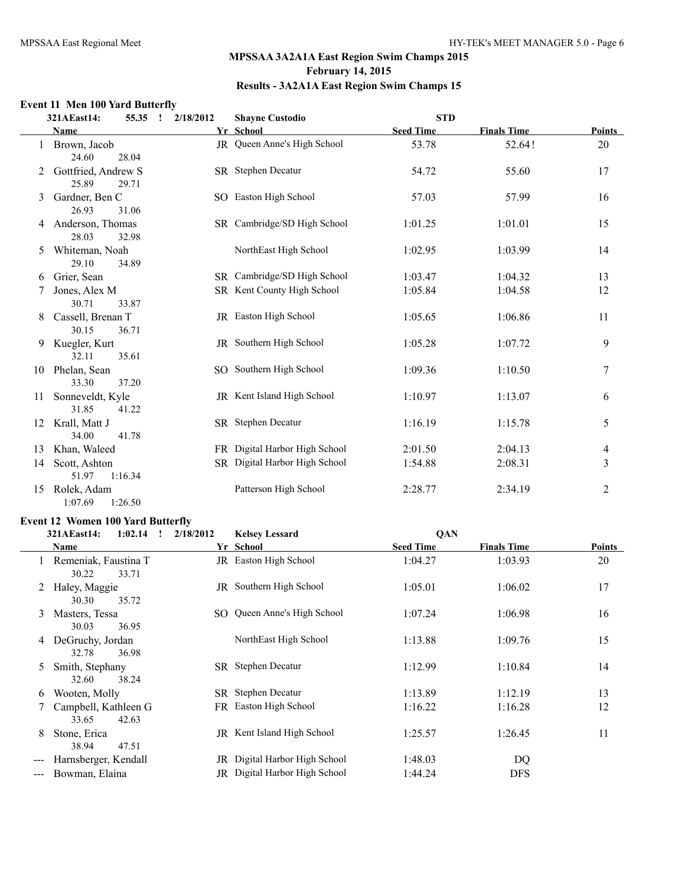# **Event 11 Men 100 Yard Butterfly**

|    | 321AEast14:<br>55.35                  | 2/18/2012<br>$\mathbf{I}$ | <b>Shayne Custodio</b>        | <b>STD</b>       |                    |                |
|----|---------------------------------------|---------------------------|-------------------------------|------------------|--------------------|----------------|
|    | Name                                  |                           | Yr School                     | <b>Seed Time</b> | <b>Finals Time</b> | Points         |
|    | Brown, Jacob<br>24.60<br>28.04        | JR                        | Queen Anne's High School      | 53.78            | 52.64!             | 20             |
|    | Gottfried, Andrew S<br>25.89<br>29.71 |                           | SR Stephen Decatur            | 54.72            | 55.60              | 17             |
| 3  | Gardner, Ben C<br>26.93<br>31.06      |                           | SO Easton High School         | 57.03            | 57.99              | 16             |
| 4  | Anderson, Thomas<br>28.03<br>32.98    |                           | SR Cambridge/SD High School   | 1:01.25          | 1:01.01            | 15             |
| 5. | Whiteman, Noah<br>29.10<br>34.89      |                           | NorthEast High School         | 1:02.95          | 1:03.99            | 14             |
| 6  | Grier, Sean                           |                           | SR Cambridge/SD High School   | 1:03.47          | 1:04.32            | 13             |
| 7  | Jones, Alex M<br>30.71<br>33.87       |                           | SR Kent County High School    | 1:05.84          | 1:04.58            | 12             |
| 8  | Cassell, Brenan T<br>30.15<br>36.71   |                           | JR Easton High School         | 1:05.65          | 1:06.86            | 11             |
| 9  | Kuegler, Kurt<br>32.11<br>35.61       |                           | JR Southern High School       | 1:05.28          | 1:07.72            | 9              |
| 10 | Phelan, Sean<br>33.30<br>37.20        |                           | SO Southern High School       | 1:09.36          | 1:10.50            | 7              |
| 11 | Sonneveldt, Kyle<br>31.85<br>41.22    |                           | JR Kent Island High School    | 1:10.97          | 1:13.07            | 6              |
| 12 | Krall, Matt J<br>34.00<br>41.78       |                           | SR Stephen Decatur            | 1:16.19          | 1:15.78            | 5              |
| 13 | Khan, Waleed                          |                           | FR Digital Harbor High School | 2:01.50          | 2:04.13            | 4              |
| 14 | Scott, Ashton<br>51.97<br>1:16.34     |                           | SR Digital Harbor High School | 1:54.88          | 2:08.31            | 3              |
| 15 | Rolek, Adam<br>1:07.69<br>1:26.50     |                           | Patterson High School         | 2:28.77          | 2:34.19            | $\overline{2}$ |

# **Event 12 Women 100 Yard Butterfly**

|                   | 321AEast14:<br>1:02.14<br>$\mathbf{I}$   | 2/18/2012 | <b>Kelsey Lessard</b>             | <b>QAN</b>       |                    |        |
|-------------------|------------------------------------------|-----------|-----------------------------------|------------------|--------------------|--------|
|                   | Name                                     |           | Yr School                         | <b>Seed Time</b> | <b>Finals Time</b> | Points |
|                   | 1 Remeniak, Faustina T<br>30.22<br>33.71 |           | JR Easton High School             | 1:04.27          | 1:03.93            | 20     |
| 2                 | Haley, Maggie<br>30.30<br>35.72          |           | JR Southern High School           | 1:05.01          | 1:06.02            | 17     |
| 3                 | Masters, Tessa<br>30.03<br>36.95         |           | SO Queen Anne's High School       | 1:07.24          | 1:06.98            | 16     |
| 4                 | DeGruchy, Jordan<br>32.78<br>36.98       |           | NorthEast High School             | 1:13.88          | 1:09.76            | 15     |
| 5                 | Smith, Stephany<br>38.24<br>32.60        |           | SR Stephen Decatur                | 1:12.99          | 1:10.84            | 14     |
| 6                 | Wooten, Molly                            |           | SR Stephen Decatur                | 1:13.89          | 1:12.19            | 13     |
|                   | Campbell, Kathleen G<br>33.65<br>42.63   |           | FR Easton High School             | 1:16.22          | 1:16.28            | 12     |
| 8                 | Stone, Erica<br>38.94<br>47.51           |           | <b>JR</b> Kent Island High School | 1:25.57          | 1:26.45            | 11     |
| $---$             | Harnsberger, Kendall                     |           | JR Digital Harbor High School     | 1:48.03          | DQ                 |        |
| $\qquad \qquad -$ | Bowman, Elaina                           |           | JR Digital Harbor High School     | 1:44.24          | <b>DFS</b>         |        |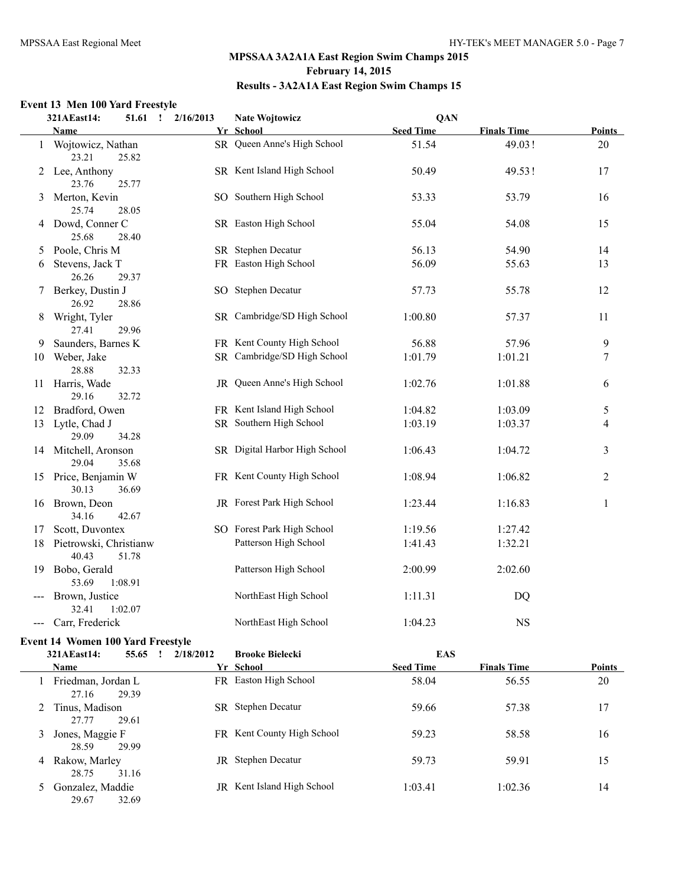# **Event 13 Men 100 Yard Freestyle**

|              | 321AEast14:                        | 2/16/2013<br>51.61<br>$\mathbf{I}$ | <b>Nate Wojtowicz</b>         | QAN              |                    |                |  |
|--------------|------------------------------------|------------------------------------|-------------------------------|------------------|--------------------|----------------|--|
|              | <b>Name</b>                        |                                    | Yr School                     | <b>Seed Time</b> | <b>Finals Time</b> | Points         |  |
| $\mathbf{1}$ | Wojtowicz, Nathan<br>23.21         | 25.82                              | SR Queen Anne's High School   | 51.54            | 49.03!             | 20             |  |
|              | 2 Lee, Anthony<br>23.76            | 25.77                              | SR Kent Island High School    | 50.49            | 49.53!             | 17             |  |
| 3            | Merton, Kevin<br>25.74             | 28.05                              | SO Southern High School       | 53.33            | 53.79              | 16             |  |
|              | 4 Dowd, Conner C<br>25.68          | 28.40                              | SR Easton High School         | 55.04            | 54.08              | 15             |  |
| 5            | Poole, Chris M                     |                                    | SR Stephen Decatur            | 56.13            | 54.90              | 14             |  |
| 6            | Stevens, Jack T<br>26.26           | 29.37                              | FR Easton High School         | 56.09            | 55.63              | 13             |  |
| 7            | Berkey, Dustin J<br>26.92          | 28.86                              | SO Stephen Decatur            | 57.73            | 55.78              | 12             |  |
| 8            | Wright, Tyler<br>27.41             | 29.96                              | SR Cambridge/SD High School   | 1:00.80          | 57.37              | 11             |  |
| 9            | Saunders, Barnes K                 |                                    | FR Kent County High School    | 56.88            | 57.96              | 9              |  |
| 10           | Weber, Jake<br>28.88               | 32.33                              | SR Cambridge/SD High School   | 1:01.79          | 1:01.21            | 7              |  |
| 11           | Harris, Wade<br>29.16              | 32.72                              | JR Queen Anne's High School   | 1:02.76          | 1:01.88            | 6              |  |
| 12           | Bradford, Owen                     |                                    | FR Kent Island High School    | 1:04.82          | 1:03.09            | 5              |  |
| 13           | Lytle, Chad J<br>29.09             | 34.28                              | SR Southern High School       | 1:03.19          | 1:03.37            | 4              |  |
|              | 14 Mitchell, Aronson<br>29.04      | 35.68                              | SR Digital Harbor High School | 1:06.43          | 1:04.72            | 3              |  |
|              | 15 Price, Benjamin W<br>30.13      | 36.69                              | FR Kent County High School    | 1:08.94          | 1:06.82            | $\overline{c}$ |  |
| 16           | Brown, Deon<br>34.16               | 42.67                              | JR Forest Park High School    | 1:23.44          | 1:16.83            | 1              |  |
| 17           | Scott, Duvontex                    |                                    | SO Forest Park High School    | 1:19.56          | 1:27.42            |                |  |
| 18           | Pietrowski, Christianw<br>40.43    | 51.78                              | Patterson High School         | 1:41.43          | 1:32.21            |                |  |
| 19           | Bobo, Gerald<br>53.69<br>1:08.91   |                                    | Patterson High School         | 2:00.99          | 2:02.60            |                |  |
| ---          | Brown, Justice<br>32.41<br>1:02.07 |                                    | NorthEast High School         | 1:11.31          | DQ                 |                |  |
| ---          | Carr, Frederick                    |                                    | NorthEast High School         | 1:04.23          | <b>NS</b>          |                |  |

# **Event 14 Women 100 Yard Freestyle**

|   | 321AEast14:                 | 55.65 | 2/18/2012 | <b>Brooke Bielecki</b>     | <b>EAS</b>       |                    |               |
|---|-----------------------------|-------|-----------|----------------------------|------------------|--------------------|---------------|
|   | <b>Name</b>                 |       |           | Yr School                  | <b>Seed Time</b> | <b>Finals Time</b> | <b>Points</b> |
|   | Friedman, Jordan L<br>27.16 | 29.39 | FR.       | Easton High School         | 58.04            | 56.55              | 20            |
|   | 2 Tinus, Madison<br>27.77   | 29.61 | SR.       | Stephen Decatur            | 59.66            | 57.38              | 17            |
| 3 | Jones, Maggie F<br>28.59    | 29.99 |           | FR Kent County High School | 59.23            | 58.58              | 16            |
| 4 | Rakow, Marley<br>28.75      | 31.16 | JR        | Stephen Decatur            | 59.73            | 59.91              | 15            |
|   | Gonzalez, Maddie<br>29.67   | 32.69 | JR        | Kent Island High School    | 1:03.41          | 1:02.36            | 14            |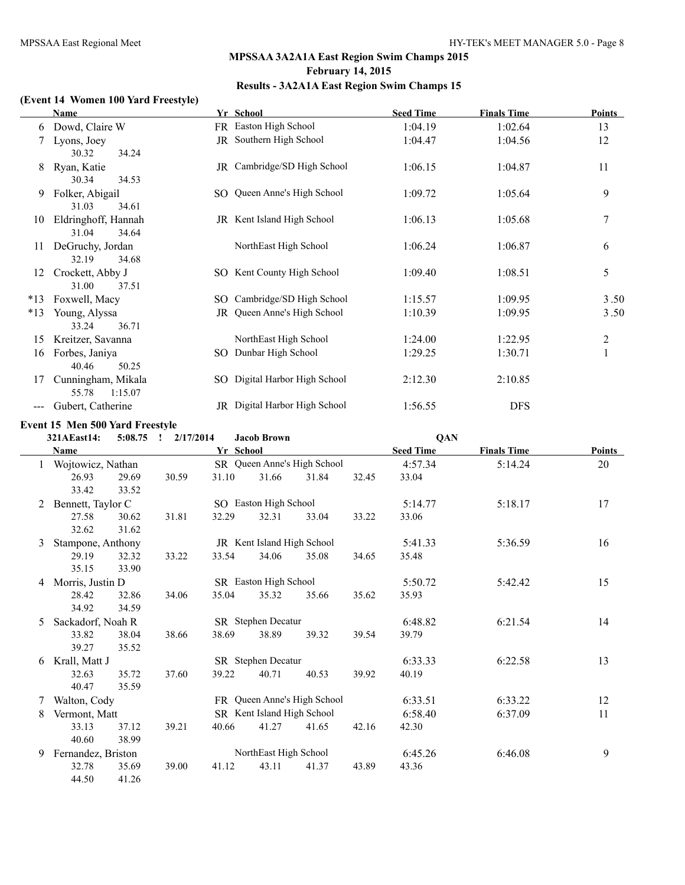# **(Event 14 Women 100 Yard Freestyle)**

|       | Name                |     | Yr School                         | <b>Seed Time</b> | <b>Finals Time</b> | Points           |
|-------|---------------------|-----|-----------------------------------|------------------|--------------------|------------------|
| 6     | Dowd, Claire W      |     | FR Easton High School             | 1:04.19          | 1:02.64            | 13               |
|       | Lyons, Joey         |     | JR Southern High School           | 1:04.47          | 1:04.56            | 12               |
|       | 30.32<br>34.24      |     |                                   |                  |                    |                  |
| 8     | Ryan, Katie         | JR  | Cambridge/SD High School          | 1:06.15          | 1:04.87            | 11               |
|       | 30.34<br>34.53      |     |                                   |                  |                    |                  |
| 9     | Folker, Abigail     |     | SO Queen Anne's High School       | 1:09.72          | 1:05.64            | 9                |
|       | 31.03<br>34.61      |     |                                   |                  |                    |                  |
| 10    | Eldringhoff, Hannah |     | <b>JR</b> Kent Island High School | 1:06.13          | 1:05.68            | $\boldsymbol{7}$ |
|       | 31.04<br>34.64      |     |                                   |                  |                    |                  |
| 11    | DeGruchy, Jordan    |     | NorthEast High School             | 1:06.24          | 1:06.87            | 6                |
|       | 32.19<br>34.68      |     |                                   |                  |                    |                  |
| 12    | Crockett, Abby J    |     | SO Kent County High School        | 1:09.40          | 1:08.51            | 5                |
|       | 31.00<br>37.51      |     |                                   |                  |                    |                  |
| $*13$ | Foxwell, Macy       | SO. | Cambridge/SD High School          | 1:15.57          | 1:09.95            | 3.50             |
| $*13$ | Young, Alyssa       | JR. | Queen Anne's High School          | 1:10.39          | 1:09.95            | 3.50             |
|       | 33.24<br>36.71      |     |                                   |                  |                    |                  |
| 15    | Kreitzer, Savanna   |     | NorthEast High School             | 1:24.00          | 1:22.95            | 2                |
| 16    | Forbes, Janiya      | SO. | Dunbar High School                | 1:29.25          | 1:30.71            | $\mathbf{1}$     |
|       | 40.46<br>50.25      |     |                                   |                  |                    |                  |
| 17    | Cunningham, Mikala  | SO. | Digital Harbor High School        | 2:12.30          | 2:10.85            |                  |
|       | 55.78<br>1:15.07    |     |                                   |                  |                    |                  |
|       | Gubert, Catherine   |     | JR Digital Harbor High School     | 1:56.55          | <b>DFS</b>         |                  |

# **Event 15 Men 500 Yard Freestyle**

|   | 321AEast14:        | 5:08.75 | 2/17/2014<br>$\mathbf{I}$ |           | <b>Jacob Brown</b>         |                             |       | QAN              |                    |               |
|---|--------------------|---------|---------------------------|-----------|----------------------------|-----------------------------|-------|------------------|--------------------|---------------|
|   | Name               |         |                           | Yr School |                            |                             |       | <b>Seed Time</b> | <b>Finals Time</b> | <b>Points</b> |
| 1 | Wojtowicz, Nathan  |         |                           |           |                            | SR Queen Anne's High School |       | 4:57.34          | 5:14.24            | 20            |
|   | 26.93              | 29.69   | 30.59                     | 31.10     | 31.66                      | 31.84                       | 32.45 | 33.04            |                    |               |
|   | 33.42              | 33.52   |                           |           |                            |                             |       |                  |                    |               |
| 2 | Bennett, Taylor C  |         |                           |           | SO Easton High School      |                             |       | 5:14.77          | 5:18.17            | 17            |
|   | 27.58              | 30.62   | 31.81                     | 32.29     | 32.31                      | 33.04                       | 33.22 | 33.06            |                    |               |
|   | 32.62              | 31.62   |                           |           |                            |                             |       |                  |                    |               |
| 3 | Stampone, Anthony  |         |                           |           | JR Kent Island High School |                             |       | 5:41.33          | 5:36.59            | 16            |
|   | 29.19              | 32.32   | 33.22                     | 33.54     | 34.06                      | 35.08                       | 34.65 | 35.48            |                    |               |
|   | 35.15              | 33.90   |                           |           |                            |                             |       |                  |                    |               |
| 4 | Morris, Justin D   |         |                           |           | SR Easton High School      |                             |       | 5:50.72          | 5:42.42            | 15            |
|   | 28.42              | 32.86   | 34.06                     | 35.04     | 35.32                      | 35.66                       | 35.62 | 35.93            |                    |               |
|   | 34.92              | 34.59   |                           |           |                            |                             |       |                  |                    |               |
| 5 | Sackadorf, Noah R  |         |                           |           | SR Stephen Decatur         |                             |       | 6:48.82          | 6:21.54            | 14            |
|   | 33.82              | 38.04   | 38.66                     | 38.69     | 38.89                      | 39.32                       | 39.54 | 39.79            |                    |               |
|   | 39.27              | 35.52   |                           |           |                            |                             |       |                  |                    |               |
| 6 | Krall, Matt J      |         |                           |           | SR Stephen Decatur         |                             |       | 6:33.33          | 6:22.58            | 13            |
|   | 32.63              | 35.72   | 37.60                     | 39.22     | 40.71                      | 40.53                       | 39.92 | 40.19            |                    |               |
|   | 40.47              | 35.59   |                           |           |                            |                             |       |                  |                    |               |
| 7 | Walton, Cody       |         |                           |           |                            | FR Queen Anne's High School |       | 6:33.51          | 6:33.22            | 12            |
| 8 | Vermont, Matt      |         |                           |           | SR Kent Island High School |                             |       | 6:58.40          | 6:37.09            | 11            |
|   | 33.13              | 37.12   | 39.21                     | 40.66     | 41.27                      | 41.65                       | 42.16 | 42.30            |                    |               |
|   | 40.60              | 38.99   |                           |           |                            |                             |       |                  |                    |               |
| 9 | Fernandez, Briston |         |                           |           | NorthEast High School      |                             |       | 6:45.26          | 6:46.08            | 9             |
|   | 32.78              | 35.69   | 39.00                     | 41.12     | 43.11                      | 41.37                       | 43.89 | 43.36            |                    |               |
|   | 44.50              | 41.26   |                           |           |                            |                             |       |                  |                    |               |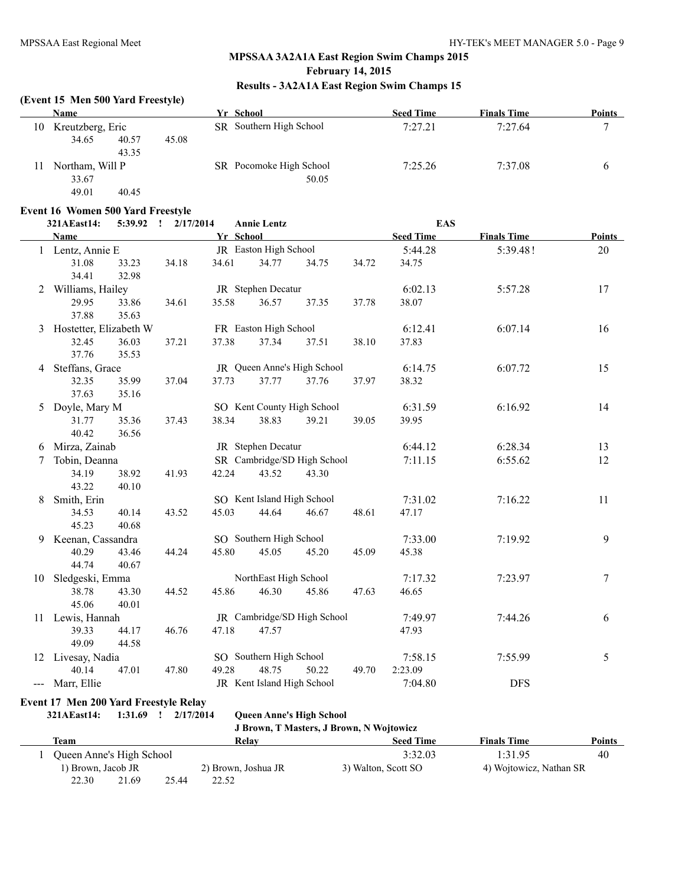### **(Event 15 Men 500 Yard Freestyle)**

|    | Name                    | Yr School               | <b>Seed Time</b> | <b>Finals Time</b> | <b>Points</b> |
|----|-------------------------|-------------------------|------------------|--------------------|---------------|
| 10 | Kreutzberg, Eric        | SR Southern High School | 7:27.21          | 7:27.64            | −             |
|    | 34.65<br>45.08<br>40.57 |                         |                  |                    |               |
|    | 43.35                   |                         |                  |                    |               |
| 11 | Northam, Will P         | SR Pocomoke High School | 7:25.26          | 7:37.08            |               |
|    | 33.67                   | 50.05                   |                  |                    |               |
|    | 49.01<br>40.45          |                         |                  |                    |               |

### **Event 16 Women 500 Yard Freestyle**

|    | 321AEast14:              | 5:39.92        | 2/17/2014<br>$\mathbf{I}$ |           | <b>Annie Lentz</b>          |       |       | <b>EAS</b>       |                    |               |
|----|--------------------------|----------------|---------------------------|-----------|-----------------------------|-------|-------|------------------|--------------------|---------------|
|    | Name                     |                |                           | Yr School |                             |       |       | <b>Seed Time</b> | <b>Finals Time</b> | <b>Points</b> |
|    | 1 Lentz, Annie E         |                |                           |           | JR Easton High School       |       |       | 5:44.28          | 5:39.48!           | 20            |
|    | 31.08                    | 33.23          | 34.18                     | 34.61     | 34.77                       | 34.75 | 34.72 | 34.75            |                    |               |
|    | 34.41                    | 32.98          |                           |           |                             |       |       |                  |                    |               |
|    | 2 Williams, Hailey       |                |                           |           | JR Stephen Decatur          |       |       | 6:02.13          | 5:57.28            | 17            |
|    | 29.95                    | 33.86          | 34.61                     | 35.58     | 36.57                       | 37.35 | 37.78 | 38.07            |                    |               |
|    | 37.88                    | 35.63          |                           |           |                             |       |       |                  |                    |               |
|    | 3 Hostetter, Elizabeth W |                |                           |           | FR Easton High School       |       |       | 6:12.41          | 6:07.14            | 16            |
|    | 32.45                    | 36.03          | 37.21                     | 37.38     | 37.34                       | 37.51 | 38.10 | 37.83            |                    |               |
|    | 37.76                    | 35.53          |                           |           |                             |       |       |                  |                    |               |
|    | 4 Steffans, Grace        |                |                           |           | JR Queen Anne's High School |       |       | 6:14.75          | 6:07.72            | 15            |
|    | 32.35                    | 35.99          | 37.04                     | 37.73     | 37.77                       | 37.76 | 37.97 | 38.32            |                    |               |
|    | 37.63                    | 35.16          |                           |           |                             |       |       |                  |                    |               |
| 5  | Doyle, Mary M            |                |                           |           | SO Kent County High School  |       |       | 6:31.59          | 6:16.92            | 14            |
|    | 31.77                    | 35.36          | 37.43                     | 38.34     | 38.83                       | 39.21 | 39.05 | 39.95            |                    |               |
|    | 40.42                    | 36.56          |                           |           |                             |       |       |                  |                    |               |
| 6  | Mirza, Zainab            |                |                           |           | JR Stephen Decatur          |       |       | 6:44.12          | 6:28.34            | 13            |
| 7  | Tobin, Deanna            |                |                           |           | SR Cambridge/SD High School |       |       | 7:11.15          | 6:55.62            | 12            |
|    | 34.19                    | 38.92          | 41.93                     | 42.24     | 43.52                       | 43.30 |       |                  |                    |               |
|    | 43.22                    | 40.10          |                           |           |                             |       |       |                  |                    |               |
| 8  | Smith, Erin              |                |                           |           | SO Kent Island High School  |       |       | 7:31.02          | 7:16.22            | 11            |
|    | 34.53                    | 40.14          | 43.52                     | 45.03     | 44.64                       | 46.67 | 48.61 | 47.17            |                    |               |
|    | 45.23                    | 40.68          |                           |           |                             |       |       |                  |                    |               |
| 9  | Keenan, Cassandra        |                |                           |           | SO Southern High School     |       |       | 7:33.00          | 7:19.92            | 9             |
|    | 40.29<br>44.74           | 43.46<br>40.67 | 44.24                     | 45.80     | 45.05                       | 45.20 | 45.09 | 45.38            |                    |               |
|    | 10 Sledgeski, Emma       |                |                           |           | NorthEast High School       |       |       | 7:17.32          | 7:23.97            | 7             |
|    | 38.78                    | 43.30          | 44.52                     | 45.86     | 46.30                       | 45.86 | 47.63 | 46.65            |                    |               |
|    | 45.06                    | 40.01          |                           |           |                             |       |       |                  |                    |               |
|    | 11 Lewis, Hannah         |                |                           |           | JR Cambridge/SD High School |       |       | 7:49.97          | 7:44.26            | 6             |
|    | 39.33                    | 44.17          | 46.76                     | 47.18     | 47.57                       |       |       | 47.93            |                    |               |
|    | 49.09                    | 44.58          |                           |           |                             |       |       |                  |                    |               |
| 12 | Livesay, Nadia           |                |                           |           | SO Southern High School     |       |       | 7:58.15          | 7:55.99            | 5             |
|    | 40.14                    | 47.01          | 47.80                     | 49.28     | 48.75                       | 50.22 | 49.70 | 2:23.09          |                    |               |
|    | --- Marr, Ellie          |                |                           |           | JR Kent Island High School  |       |       | 7:04.80          | <b>DFS</b>         |               |
|    |                          |                |                           |           |                             |       |       |                  |                    |               |

# **Event 17 Men 200 Yard Freestyle Relay**

**321AEast14: 1:31.69 ! 2/17/2014 Queen Anne's High School**

**J Brown, T Masters, J Brown, N Wojtowicz**

| Team                     |       |       | Relav               | <b>Seed Time</b>    | <b>Finals Time</b>      | Points |
|--------------------------|-------|-------|---------------------|---------------------|-------------------------|--------|
| Queen Anne's High School |       |       |                     | 3:32.03             | 1:31.95                 | 40     |
| 1) Brown, Jacob JR       |       |       | 2) Brown, Joshua JR | 3) Walton, Scott SO | 4) Wojtowicz, Nathan SR |        |
| 22.30                    | 21.69 | 25.44 | 22.52               |                     |                         |        |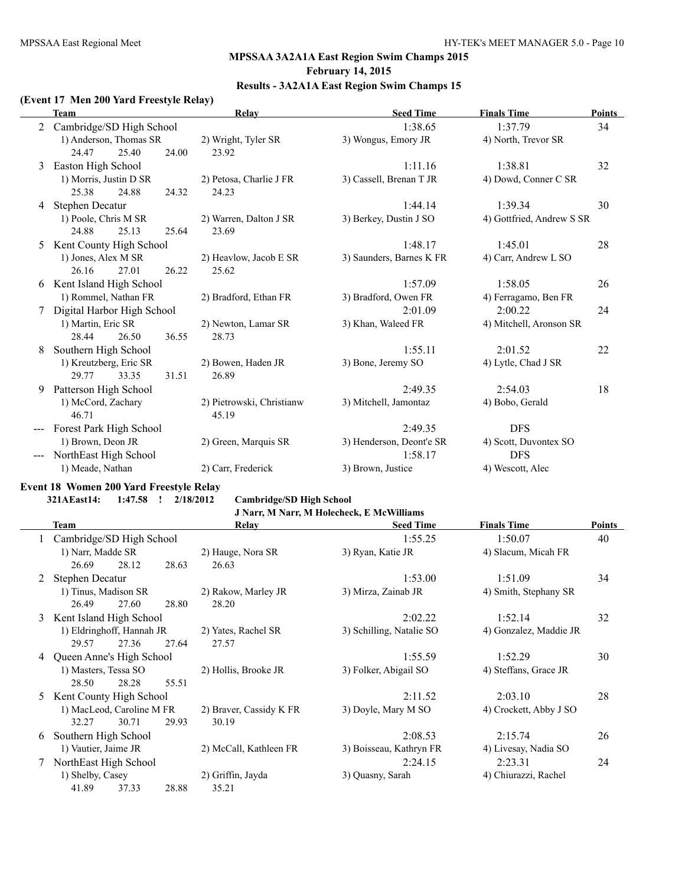# **Results - 3A2A1A East Region Swim Champs 15**

### **(Event 17 Men 200 Yard Freestyle Relay)**

|   | <b>Team</b>                |       |       | Relay                     | <b>Seed Time</b>         | <b>Finals Time</b>        | <b>Points</b> |
|---|----------------------------|-------|-------|---------------------------|--------------------------|---------------------------|---------------|
|   | Cambridge/SD High School   |       |       |                           | 1:38.65                  | 1:37.79                   | 34            |
|   | 1) Anderson, Thomas SR     |       |       | 2) Wright, Tyler SR       | 3) Wongus, Emory JR      | 4) North, Trevor SR       |               |
|   | 24.47                      | 25.40 | 24.00 | 23.92                     |                          |                           |               |
| 3 | Easton High School         |       |       |                           | 1:11.16                  | 1:38.81                   | 32            |
|   | 1) Morris, Justin D SR     |       |       | 2) Petosa, Charlie J FR   | 3) Cassell, Brenan T JR  | 4) Dowd, Conner C SR      |               |
|   | 25.38                      | 24.88 | 24.32 | 24.23                     |                          |                           |               |
| 4 | <b>Stephen Decatur</b>     |       |       |                           | 1:44.14                  | 1:39.34                   | 30            |
|   | 1) Poole, Chris M SR       |       |       | 2) Warren, Dalton J SR    | 3) Berkey, Dustin J SO   | 4) Gottfried, Andrew S SR |               |
|   | 24.88                      | 25.13 | 25.64 | 23.69                     |                          |                           |               |
| 5 | Kent County High School    |       |       |                           | 1:48.17                  | 1:45.01                   | 28            |
|   | 1) Jones, Alex M SR        |       |       | 2) Heavlow, Jacob E SR    | 3) Saunders, Barnes K FR | 4) Carr, Andrew L SO      |               |
|   | 26.16                      | 27.01 | 26.22 | 25.62                     |                          |                           |               |
| 6 | Kent Island High School    |       |       |                           | 1:57.09                  | 1:58.05                   | 26            |
|   | 1) Rommel, Nathan FR       |       |       | 2) Bradford, Ethan FR     | 3) Bradford, Owen FR     | 4) Ferragamo, Ben FR      |               |
|   | Digital Harbor High School |       |       |                           | 2:01.09                  | 2:00.22                   | 24            |
|   | 1) Martin, Eric SR         |       |       | 2) Newton, Lamar SR       | 3) Khan, Waleed FR       | 4) Mitchell, Aronson SR   |               |
|   | 28.44                      | 26.50 | 36.55 | 28.73                     |                          |                           |               |
| 8 | Southern High School       |       |       |                           | 1:55.11                  | 2:01.52                   | 22            |
|   | 1) Kreutzberg, Eric SR     |       |       | 2) Bowen, Haden JR        | 3) Bone, Jeremy SO       | 4) Lytle, Chad J SR       |               |
|   | 29.77                      | 33.35 | 31.51 | 26.89                     |                          |                           |               |
| 9 | Patterson High School      |       |       |                           | 2:49.35                  | 2:54.03                   | 18            |
|   | 1) McCord, Zachary         |       |       | 2) Pietrowski, Christianw | 3) Mitchell, Jamontaz    | 4) Bobo, Gerald           |               |
|   | 46.71                      |       |       | 45.19                     |                          |                           |               |
|   | Forest Park High School    |       |       |                           | 2:49.35                  | <b>DFS</b>                |               |
|   | 1) Brown, Deon JR          |       |       | 2) Green, Marquis SR      | 3) Henderson, Deont'e SR | 4) Scott, Duvontex SO     |               |
|   | NorthEast High School      |       |       |                           | 1:58.17                  | <b>DFS</b>                |               |
|   | 1) Meade, Nathan           |       |       | 2) Carr, Frederick        | 3) Brown, Justice        | 4) Wescott, Alec          |               |
|   |                            |       |       |                           |                          |                           |               |

# **Event 18 Women 200 Yard Freestyle Relay**

**321AEast14: 1:47.58 ! 2/18/2012 Cambridge/SD High School**

# **J Narr, M Narr, M Holecheck, E McWilliams**

|    | <b>Team</b>                                      |       | Relay                   | <b>Seed Time</b>         | <b>Finals Time</b>     | <b>Points</b> |
|----|--------------------------------------------------|-------|-------------------------|--------------------------|------------------------|---------------|
|    | Cambridge/SD High School                         |       |                         | 1:55.25                  | 1:50.07                | 40            |
|    | 1) Narr, Madde SR                                |       | 2) Hauge, Nora SR       | 3) Ryan, Katie JR        | 4) Slacum, Micah FR    |               |
|    | 26.69<br>28.12                                   | 28.63 | 26.63                   |                          |                        |               |
|    | Stephen Decatur                                  |       |                         | 1:53.00                  | 1:51.09                | 34            |
|    | 1) Tinus, Madison SR                             |       | 2) Rakow, Marley JR     | 3) Mirza, Zainab JR      | 4) Smith, Stephany SR  |               |
|    | 26.49<br>27.60                                   | 28.80 | 28.20                   |                          |                        |               |
| 3  | Kent Island High School                          |       |                         | 2:02.22                  | 1:52.14                | 32            |
|    | 1) Eldringhoff, Hannah JR<br>2) Yates, Rachel SR |       |                         | 3) Schilling, Natalie SO | 4) Gonzalez, Maddie JR |               |
|    | 29.57<br>27.36                                   | 27.64 | 27.57                   |                          |                        |               |
| 4  | Queen Anne's High School                         |       |                         | 1:55.59                  | 1:52.29                | 30            |
|    | 1) Masters, Tessa SO                             |       | 2) Hollis, Brooke JR    | 3) Folker, Abigail SO    | 4) Steffans, Grace JR  |               |
|    | 28.50<br>28.28                                   | 55.51 |                         |                          |                        |               |
| 5. | Kent County High School                          |       |                         | 2:11.52                  | 2:03.10                | 28            |
|    | 1) MacLeod, Caroline M FR                        |       | 2) Braver, Cassidy K FR | 3) Doyle, Mary M SO      | 4) Crockett, Abby J SO |               |
|    | 32.27<br>30.71                                   | 29.93 | 30.19                   |                          |                        |               |
| 6  | Southern High School                             |       |                         | 2:08.53                  | 2:15.74                | 26            |
|    | 1) Vautier, Jaime JR                             |       | 2) McCall, Kathleen FR  | 3) Boisseau, Kathryn FR  | 4) Livesay, Nadia SO   |               |
|    | NorthEast High School                            |       |                         | 2:24.15                  | 2:23.31                | 24            |
|    | 1) Shelby, Casey                                 |       | 2) Griffin, Jayda       | 3) Quasny, Sarah         | 4) Chiurazzi, Rachel   |               |
|    | 41.89<br>37.33                                   | 28.88 | 35.21                   |                          |                        |               |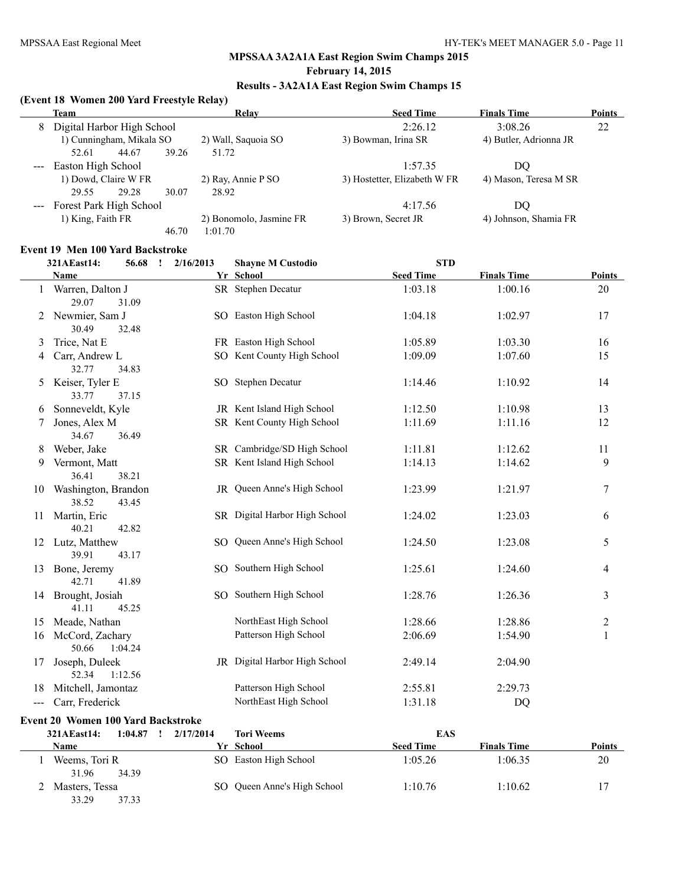# **MPSSAA 3A2A1A East Region Swim Champs 2015**

### **February 14, 2015**

# **Results - 3A2A1A East Region Swim Champs 15**

### **(Event 18 Women 200 Yard Freestyle Relay)**

|   | Team                        | Relav                   | <b>Seed Time</b>             | <b>Finals Time</b>     | Points |
|---|-----------------------------|-------------------------|------------------------------|------------------------|--------|
| 8 | Digital Harbor High School  |                         | 2:26.12                      | 3:08.26                | 22     |
|   | 1) Cunningham, Mikala SO    | 2) Wall, Saquoia SO     | 3) Bowman, Irina SR          | 4) Butler, Adrionna JR |        |
|   | 39.26<br>44.67<br>52.61     | 51.72                   |                              |                        |        |
|   | Easton High School          |                         | 1:57.35                      | DO                     |        |
|   | 1) Dowd, Claire W FR        | 2) Ray, Annie P SO      | 3) Hostetter, Elizabeth W FR | 4) Mason, Teresa M SR  |        |
|   | 29.28<br>30.07<br>29.55     | 28.92                   |                              |                        |        |
|   | --- Forest Park High School |                         | 4:17.56                      | DO                     |        |
|   | 1) King, Faith FR           | 2) Bonomolo, Jasmine FR | 3) Brown, Secret JR          | 4) Johnson, Shamia FR  |        |
|   | 46.70                       | 1:01.70                 |                              |                        |        |

### **Event 19 Men 100 Yard Backstroke**

|       | 321AEast14:                         | 56.68<br>$\mathbf{I}$ | 2/16/2013 | <b>Shayne M Custodio</b>      | <b>STD</b>       |                    |                |
|-------|-------------------------------------|-----------------------|-----------|-------------------------------|------------------|--------------------|----------------|
|       | Name                                |                       |           | Yr School                     | <b>Seed Time</b> | <b>Finals Time</b> | Points         |
|       | 1 Warren, Dalton J<br>29.07         | 31.09                 |           | SR Stephen Decatur            | 1:03.18          | 1:00.16            | 20             |
|       | 2 Newmier, Sam J<br>30.49           | 32.48                 |           | SO Easton High School         | 1:04.18          | 1:02.97            | 17             |
| 3     | Trice, Nat E                        |                       |           | FR Easton High School         | 1:05.89          | 1:03.30            | 16             |
| 4     | Carr, Andrew L<br>32.77             | 34.83                 |           | SO Kent County High School    | 1:09.09          | 1:07.60            | 15             |
| 5     | Keiser, Tyler E<br>33.77            | 37.15                 |           | SO Stephen Decatur            | 1:14.46          | 1:10.92            | 14             |
| 6     | Sonneveldt, Kyle                    |                       |           | JR Kent Island High School    | 1:12.50          | 1:10.98            | 13             |
| 7     | Jones, Alex M<br>34.67              | 36.49                 |           | SR Kent County High School    | 1:11.69          | 1:11.16            | 12             |
| 8     | Weber, Jake                         |                       |           | SR Cambridge/SD High School   | 1:11.81          | 1:12.62            | 11             |
| 9     | Vermont, Matt<br>36.41              | 38.21                 |           | SR Kent Island High School    | 1:14.13          | 1:14.62            | 9              |
|       | 10 Washington, Brandon<br>38.52     | 43.45                 |           | JR Queen Anne's High School   | 1:23.99          | 1:21.97            | 7              |
| 11    | Martin, Eric<br>40.21               | 42.82                 |           | SR Digital Harbor High School | 1:24.02          | 1:23.03            | 6              |
|       | 12 Lutz, Matthew<br>39.91           | 43.17                 |           | SO Queen Anne's High School   | 1:24.50          | 1:23.08            | 5              |
| 13    | Bone, Jeremy<br>42.71               | 41.89                 |           | SO Southern High School       | 1:25.61          | 1:24.60            | 4              |
|       | 14 Brought, Josiah<br>41.11         | 45.25                 |           | SO Southern High School       | 1:28.76          | 1:26.36            | 3              |
| 15    | Meade, Nathan                       |                       |           | NorthEast High School         | 1:28.66          | 1:28.86            | $\overline{c}$ |
| 16    | McCord, Zachary<br>50.66<br>1:04.24 |                       |           | Patterson High School         | 2:06.69          | 1:54.90            | $\mathbf{1}$   |
| 17    | Joseph, Duleek<br>1:12.56<br>52.34  |                       |           | JR Digital Harbor High School | 2:49.14          | 2:04.90            |                |
| 18    | Mitchell, Jamontaz                  |                       |           | Patterson High School         | 2:55.81          | 2:29.73            |                |
| $---$ | Carr, Frederick                     |                       |           | NorthEast High School         | 1:31.18          | <b>DQ</b>          |                |
|       | Event 20 Women 100 Yard Backstroke  |                       |           |                               |                  |                    |                |
|       | 321AEast14:                         | $1:04.87$ !           | 2/17/2014 | <b>Tori Weems</b>             | <b>EAS</b>       |                    |                |
|       | Name                                |                       |           | Yr School                     | <b>Seed Time</b> | <b>Finals Time</b> | Points         |
|       | 1 Weems, Tori R<br>31.96            | 34.39                 |           | SO Easton High School         | 1:05.26          | 1:06.35            | 20             |
|       | 2 Masters, Tessa                    |                       |           | SO Queen Anne's High School   | 1:10.76          | 1:10.62            | 17             |

33.29 37.33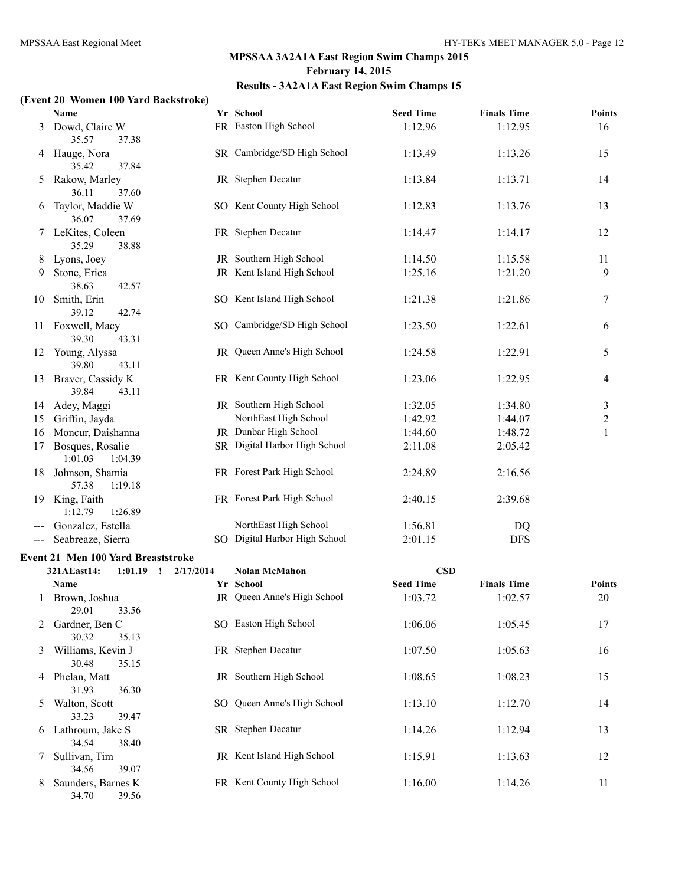### **(Event 20 Women 100 Yard Backstroke)**

|     | Name               | Yr School                     | <b>Seed Time</b> | <b>Finals Time</b> | Points         |
|-----|--------------------|-------------------------------|------------------|--------------------|----------------|
| 3   | Dowd, Claire W     | FR Easton High School         | 1:12.96          | 1:12.95            | 16             |
|     | 35.57<br>37.38     |                               |                  |                    |                |
| 4   | Hauge, Nora        | SR Cambridge/SD High School   | 1:13.49          | 1:13.26            | 15             |
|     | 35.42<br>37.84     |                               |                  |                    |                |
| 5   | Rakow, Marley      | JR Stephen Decatur            | 1:13.84          | 1:13.71            | 14             |
|     | 36.11<br>37.60     |                               |                  |                    |                |
| 6   | Taylor, Maddie W   | SO Kent County High School    | 1:12.83          | 1:13.76            | 13             |
|     | 36.07<br>37.69     |                               |                  |                    |                |
| 7   | LeKites, Coleen    | FR Stephen Decatur            | 1:14.47          | 1:14.17            | 12             |
|     | 35.29<br>38.88     |                               |                  |                    |                |
| 8   | Lyons, Joey        | JR Southern High School       | 1:14.50          | 1:15.58            | 11             |
| 9   | Stone, Erica       | JR Kent Island High School    | 1:25.16          | 1:21.20            | 9              |
|     | 38.63<br>42.57     |                               |                  |                    |                |
| 10  | Smith, Erin        | SO Kent Island High School    | 1:21.38          | 1:21.86            | 7              |
|     | 39.12<br>42.74     |                               |                  |                    |                |
| 11  | Foxwell, Macy      | SO Cambridge/SD High School   | 1:23.50          | 1:22.61            | 6              |
|     | 39.30<br>43.31     |                               |                  |                    |                |
| 12  | Young, Alyssa      | JR Queen Anne's High School   | 1:24.58          | 1:22.91            | 5              |
|     | 39.80<br>43.11     |                               |                  |                    |                |
| 13  | Braver, Cassidy K  | FR Kent County High School    | 1:23.06          | 1:22.95            | $\overline{4}$ |
|     | 39.84<br>43.11     |                               |                  |                    |                |
| 14  | Adey, Maggi        | JR Southern High School       | 1:32.05          | 1:34.80            | 3              |
| 15  | Griffin, Jayda     | NorthEast High School         | 1:42.92          | 1:44.07            | $\overline{c}$ |
| 16  | Moncur, Daishanna  | JR Dunbar High School         | 1:44.60          | 1:48.72            | 1              |
| 17  | Bosques, Rosalie   | SR Digital Harbor High School | 2:11.08          | 2:05.42            |                |
|     | 1:01.03<br>1:04.39 |                               |                  |                    |                |
| 18  | Johnson, Shamia    | FR Forest Park High School    | 2:24.89          | 2:16.56            |                |
|     | 57.38<br>1:19.18   |                               |                  |                    |                |
| 19  | King, Faith        | FR Forest Park High School    | 2:40.15          | 2:39.68            |                |
|     | 1:12.79<br>1:26.89 |                               |                  |                    |                |
|     | Gonzalez, Estella  | NorthEast High School         | 1:56.81          | DQ                 |                |
| --- | Seabreaze, Sierra  | SO Digital Harbor High School | 2:01.15          | <b>DFS</b>         |                |

#### **Event 21 Men 100 Yard Breaststroke**

|   | 321AEast14:                 | 1:01.19<br>$\mathbf{I}$ | 2/17/2014 | <b>Nolan McMahon</b>        | <b>CSD</b>       |                    |               |
|---|-----------------------------|-------------------------|-----------|-----------------------------|------------------|--------------------|---------------|
|   | <b>Name</b>                 |                         |           | Yr School                   | <b>Seed Time</b> | <b>Finals Time</b> | <b>Points</b> |
|   | Brown, Joshua<br>29.01      | 33.56                   |           | JR Queen Anne's High School | 1:03.72          | 1:02.57            | 20            |
| 2 | Gardner, Ben C<br>30.32     | 35.13                   | SO.       | Easton High School          | 1:06.06          | 1:05.45            | 17            |
| 3 | Williams, Kevin J<br>30.48  | 35.15                   |           | FR Stephen Decatur          | 1:07.50          | 1:05.63            | 16            |
| 4 | Phelan, Matt<br>31.93       | 36.30                   | JR        | Southern High School        | 1:08.65          | 1:08.23            | 15            |
| 5 | Walton, Scott<br>33.23      | 39.47                   |           | SO Queen Anne's High School | 1:13.10          | 1:12.70            | 14            |
| 6 | Lathroum, Jake S<br>34.54   | 38.40                   |           | SR Stephen Decatur          | 1:14.26          | 1:12.94            | 13            |
|   | Sullivan, Tim<br>34.56      | 39.07                   |           | JR Kent Island High School  | 1:15.91          | 1:13.63            | 12            |
| 8 | Saunders, Barnes K<br>34.70 | 39.56                   |           | FR Kent County High School  | 1:16.00          | 1:14.26            | 11            |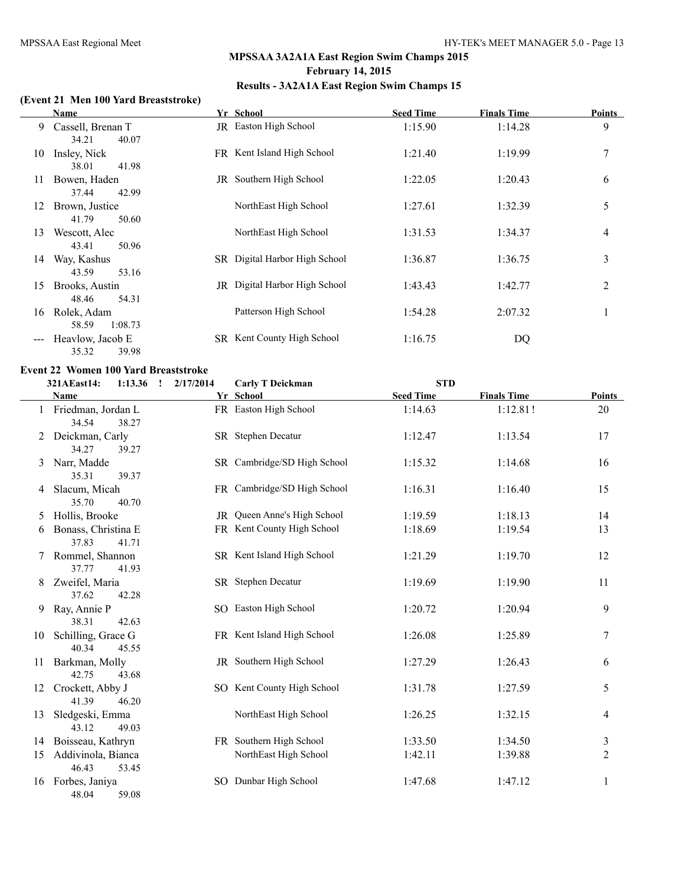### **(Event 21 Men 100 Yard Breaststroke)**

|    | <b>Name</b>       | Yr School                            | <b>Seed Time</b> | <b>Finals Time</b> | <b>Points</b> |
|----|-------------------|--------------------------------------|------------------|--------------------|---------------|
| 9  | Cassell, Brenan T | JR Easton High School                | 1:15.90          | 1:14.28            | 9             |
|    | 40.07<br>34.21    |                                      |                  |                    |               |
| 10 | Insley, Nick      | FR Kent Island High School           | 1:21.40          | 1:19.99            | 7             |
|    | 41.98<br>38.01    |                                      |                  |                    |               |
| 11 | Bowen, Haden      | JR Southern High School              | 1:22.05          | 1:20.43            | 6             |
|    | 42.99<br>37.44    |                                      |                  |                    |               |
| 12 | Brown, Justice    | NorthEast High School                | 1:27.61          | 1:32.39            | 5             |
|    | 41.79<br>50.60    |                                      |                  |                    |               |
| 13 | Wescott, Alec     | NorthEast High School                | 1:31.53          | 1:34.37            | 4             |
|    | 43.41<br>50.96    |                                      |                  |                    |               |
| 14 | Way, Kashus       | SR Digital Harbor High School        | 1:36.87          | 1:36.75            | 3             |
|    | 53.16<br>43.59    |                                      |                  |                    |               |
| 15 | Brooks, Austin    | <b>JR</b> Digital Harbor High School | 1:43.43          | 1:42.77            | 2             |
|    | 54.31<br>48.46    |                                      |                  |                    |               |
| 16 | Rolek, Adam       | Patterson High School                | 1:54.28          | 2:07.32            |               |
|    | 58.59<br>1:08.73  |                                      |                  |                    |               |
|    | Heavlow, Jacob E  | SR Kent County High School           | 1:16.75          | DQ                 |               |
|    | 35.32<br>39.98    |                                      |                  |                    |               |

### **Event 22 Women 100 Yard Breaststroke**

|    | 321AEast14:<br>1:13.36                 | 2/17/2014<br>$\mathbf{r}$ | <b>Carly T Deickman</b>     | <b>STD</b>       |                    |                  |
|----|----------------------------------------|---------------------------|-----------------------------|------------------|--------------------|------------------|
|    | Name                                   |                           | Yr School                   | <b>Seed Time</b> | <b>Finals Time</b> | Points           |
|    | 1 Friedman, Jordan L<br>34.54<br>38.27 |                           | FR Easton High School       | 1:14.63          | 1:12.81!           | 20               |
|    | Deickman, Carly<br>34.27<br>39.27      |                           | SR Stephen Decatur          | 1:12.47          | 1:13.54            | 17               |
| 3  | Narr, Madde<br>35.31<br>39.37          |                           | SR Cambridge/SD High School | 1:15.32          | 1:14.68            | 16               |
| 4  | Slacum, Micah<br>35.70<br>40.70        |                           | FR Cambridge/SD High School | 1:16.31          | 1:16.40            | 15               |
| 5  | Hollis, Brooke                         |                           | JR Queen Anne's High School | 1:19.59          | 1:18.13            | 14               |
| 6  | Bonass, Christina E<br>37.83<br>41.71  |                           | FR Kent County High School  | 1:18.69          | 1:19.54            | 13               |
| 7  | Rommel, Shannon<br>37.77<br>41.93      |                           | SR Kent Island High School  | 1:21.29          | 1:19.70            | 12               |
| 8  | Zweifel, Maria<br>37.62<br>42.28       |                           | SR Stephen Decatur          | 1:19.69          | 1:19.90            | 11               |
| 9  | Ray, Annie P<br>38.31<br>42.63         |                           | SO Easton High School       | 1:20.72          | 1:20.94            | 9                |
| 10 | Schilling, Grace G<br>40.34<br>45.55   |                           | FR Kent Island High School  | 1:26.08          | 1:25.89            | $\boldsymbol{7}$ |
| 11 | Barkman, Molly<br>42.75<br>43.68       |                           | JR Southern High School     | 1:27.29          | 1:26.43            | 6                |
| 12 | Crockett, Abby J<br>41.39<br>46.20     |                           | SO Kent County High School  | 1:31.78          | 1:27.59            | 5                |
| 13 | Sledgeski, Emma<br>43.12<br>49.03      |                           | NorthEast High School       | 1:26.25          | 1:32.15            | 4                |
| 14 | Boisseau, Kathryn                      |                           | FR Southern High School     | 1:33.50          | 1:34.50            | $\mathfrak{Z}$   |
| 15 | Addivinola, Bianca<br>46.43<br>53.45   |                           | NorthEast High School       | 1:42.11          | 1:39.88            | $\overline{2}$   |
| 16 | Forbes, Janiya<br>48.04<br>59.08       |                           | SO Dunbar High School       | 1:47.68          | 1:47.12            | $\mathbf{1}$     |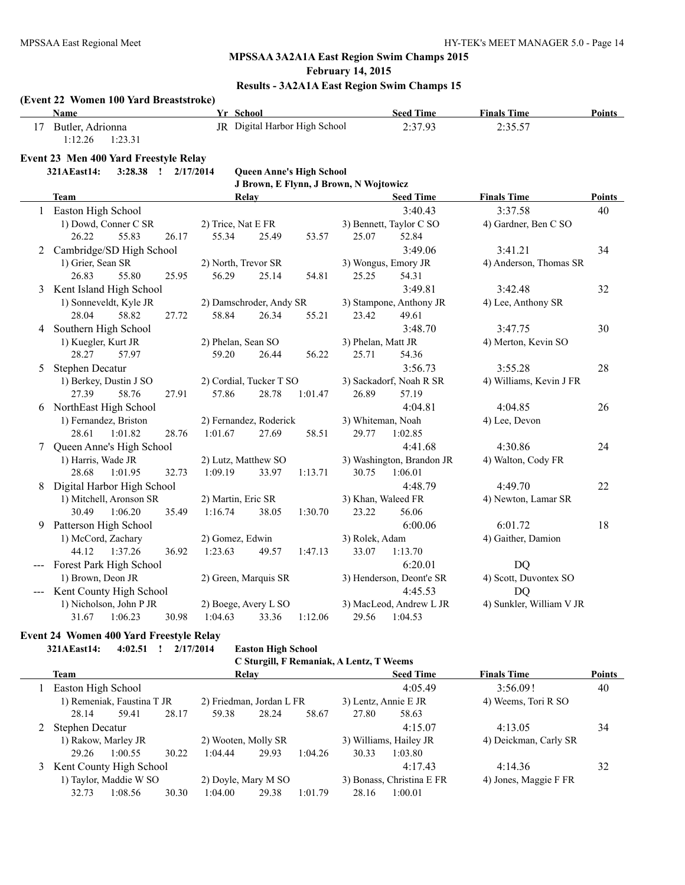# **MPSSAA 3A2A1A East Region Swim Champs 2015**

**February 14, 2015**

# **Results - 3A2A1A East Region Swim Champs 15**

|              | (Event 22 Women 100 Yard Breaststroke)    |       |                         |                      |                                 |                                        |                           |                          |               |
|--------------|-------------------------------------------|-------|-------------------------|----------------------|---------------------------------|----------------------------------------|---------------------------|--------------------------|---------------|
|              | Name                                      |       | Yr School               |                      |                                 |                                        | <b>Seed Time</b>          | <b>Finals Time</b>       | <b>Points</b> |
|              | 17 Butler, Adrionna<br>1:12.26<br>1:23.31 |       |                         |                      | JR Digital Harbor High School   |                                        | 2:37.93                   | 2:35.57                  |               |
|              | Event 23 Men 400 Yard Freestyle Relay     |       |                         |                      |                                 |                                        |                           |                          |               |
|              | 321AEast14:<br>3:28.38 ! 2/17/2014        |       |                         |                      | <b>Queen Anne's High School</b> |                                        |                           |                          |               |
|              |                                           |       |                         |                      |                                 | J Brown, E Flynn, J Brown, N Wojtowicz |                           |                          |               |
|              | <b>Team</b>                               |       |                         | Relay                |                                 |                                        | <b>Seed Time</b>          | <b>Finals Time</b>       | Points        |
|              | 1 Easton High School                      |       |                         |                      |                                 |                                        | 3:40.43                   | 3:37.58                  | 40            |
|              | 1) Dowd, Conner C SR                      |       | 2) Trice, Nat E FR      |                      |                                 |                                        | 3) Bennett, Taylor C SO   | 4) Gardner, Ben C SO     |               |
|              | 26.22<br>55.83                            | 26.17 | 55.34                   | 25.49                | 53.57                           | 25.07                                  | 52.84                     |                          |               |
| $\mathbf{2}$ | Cambridge/SD High School                  |       |                         |                      |                                 |                                        | 3:49.06                   | 3:41.21                  | 34            |
|              | 1) Grier, Sean SR                         |       | 2) North, Trevor SR     |                      |                                 |                                        | 3) Wongus, Emory JR       | 4) Anderson, Thomas SR   |               |
|              | 26.83<br>55.80                            | 25.95 | 56.29                   | 25.14                | 54.81                           | 25.25                                  | 54.31                     |                          |               |
| 3            | Kent Island High School                   |       |                         |                      |                                 |                                        | 3:49.81                   | 3:42.48                  | 32            |
|              | 1) Sonneveldt, Kyle JR                    |       | 2) Damschroder, Andy SR |                      |                                 |                                        | 3) Stampone, Anthony JR   | 4) Lee, Anthony SR       |               |
|              | 28.04<br>58.82                            | 27.72 | 58.84                   | 26.34                | 55.21                           | 23.42                                  | 49.61                     |                          |               |
|              | 4 Southern High School                    |       |                         |                      |                                 |                                        | 3:48.70                   | 3:47.75                  | 30            |
|              | 1) Kuegler, Kurt JR                       |       | 2) Phelan, Sean SO      |                      |                                 | 3) Phelan, Matt JR                     |                           | 4) Merton, Kevin SO      |               |
|              | 28.27<br>57.97                            |       | 59.20                   | 26.44                | 56.22                           | 25.71                                  | 54.36                     |                          |               |
| 5            | <b>Stephen Decatur</b>                    |       |                         |                      |                                 |                                        | 3:56.73                   | 3:55.28                  | 28            |
|              | 1) Berkey, Dustin J SO                    |       | 2) Cordial, Tucker T SO |                      |                                 |                                        | 3) Sackadorf, Noah R SR   | 4) Williams, Kevin J FR  |               |
|              | 27.39<br>58.76                            | 27.91 | 57.86                   | 28.78                | 1:01.47                         | 26.89                                  | 57.19                     |                          |               |
|              | 6 NorthEast High School                   |       |                         |                      |                                 |                                        | 4:04.81                   | 4:04.85                  | 26            |
|              | 1) Fernandez, Briston                     |       | 2) Fernandez, Roderick  |                      |                                 | 3) Whiteman, Noah                      |                           | 4) Lee, Devon            |               |
|              | 28.61<br>1:01.82                          | 28.76 | 1:01.67                 | 27.69                | 58.51                           | 29.77                                  | 1:02.85                   |                          |               |
| 7            | Queen Anne's High School                  |       |                         |                      |                                 |                                        | 4:41.68                   | 4:30.86                  | 24            |
|              | 1) Harris, Wade JR                        |       | 2) Lutz, Matthew SO     |                      |                                 |                                        | 3) Washington, Brandon JR | 4) Walton, Cody FR       |               |
|              | 28.68<br>1:01.95                          | 32.73 | 1:09.19                 | 33.97                | 1:13.71                         | 30.75                                  | 1:06.01                   |                          |               |
| 8            | Digital Harbor High School                |       |                         |                      |                                 |                                        | 4:48.79                   | 4:49.70                  | 22            |
|              | 1) Mitchell, Aronson SR                   |       | 2) Martin, Eric SR      |                      |                                 |                                        | 3) Khan, Waleed FR        | 4) Newton, Lamar SR      |               |
|              | 30.49<br>1:06.20                          | 35.49 | 1:16.74                 | 38.05                | 1:30.70                         | 23.22                                  | 56.06                     |                          |               |
| 9            | Patterson High School                     |       |                         |                      |                                 |                                        | 6:00.06                   | 6:01.72                  | 18            |
|              | 1) McCord, Zachary                        |       | 2) Gomez, Edwin         |                      |                                 | 3) Rolek, Adam                         |                           | 4) Gaither, Damion       |               |
|              | 44.12<br>1:37.26                          | 36.92 | 1:23.63                 | 49.57                | 1:47.13                         | 33.07                                  | 1:13.70                   |                          |               |
|              | --- Forest Park High School               |       |                         |                      |                                 |                                        | 6:20.01                   | <b>DQ</b>                |               |
|              | 1) Brown, Deon JR                         |       | 2) Green, Marquis SR    |                      |                                 |                                        | 3) Henderson, Deont'e SR  | 4) Scott, Duvontex SO    |               |
|              | Kent County High School                   |       |                         |                      |                                 |                                        | 4:45.53                   | <b>DQ</b>                |               |
|              | 1) Nicholson, John P JR                   |       |                         | 2) Boege, Avery L SO |                                 |                                        | 3) MacLeod, Andrew L JR   | 4) Sunkler, William V JR |               |
|              | 1:06.23<br>31.67                          | 30.98 | 1:04.63                 | 33.36                | 1:12.06                         | 29.56                                  | 1:04.53                   |                          |               |

# **Event 24 Women 400 Yard Freestyle Relay**

**321AEast14: 4:02.51 ! 2/17/2014 Easton High School**

|   | C Sturgill, F Remaniak, A Lentz, T Weems |         |       |                          |       |                        |                           |                       |                    |               |
|---|------------------------------------------|---------|-------|--------------------------|-------|------------------------|---------------------------|-----------------------|--------------------|---------------|
|   | Team                                     |         |       |                          | Relay |                        |                           | <b>Seed Time</b>      | <b>Finals Time</b> | <b>Points</b> |
|   | Easton High School                       |         |       |                          |       |                        |                           | 4:05.49               | 3:56.091           | 40            |
|   | 1) Remeniak, Faustina T JR               |         |       | 2) Friedman, Jordan L FR |       | 3) Lentz, Annie E JR   |                           | 4) Weems, Tori R SO   |                    |               |
|   | 28.14                                    | 59.41   | 28.17 | 59.38                    | 28.24 | 58.67                  | 27.80                     | 58.63                 |                    |               |
|   | Stephen Decatur                          |         |       |                          |       |                        |                           | 4:15.07               | 4:13.05            | 34            |
|   | 1) Rakow, Marley JR                      |         |       | 2) Wooten, Molly SR      |       | 3) Williams, Hailey JR |                           | 4) Deickman, Carly SR |                    |               |
|   | 29.26                                    | 1:00.55 | 30.22 | 1:04.44                  | 29.93 | 1:04.26                | 30.33                     | 1:03.80               |                    |               |
| 3 | Kent County High School                  |         |       |                          |       |                        |                           | 4:17.43               | 4:14.36            | 32            |
|   | 1) Taylor, Maddie W SO                   |         |       | 2) Doyle, Mary M SO      |       |                        | 3) Bonass, Christina E FR | 4) Jones, Maggie F FR |                    |               |
|   | 32.73                                    | 1:08.56 | 30.30 | 1:04.00                  | 29.38 | 1:01.79                | 28.16                     | 1:00.01               |                    |               |